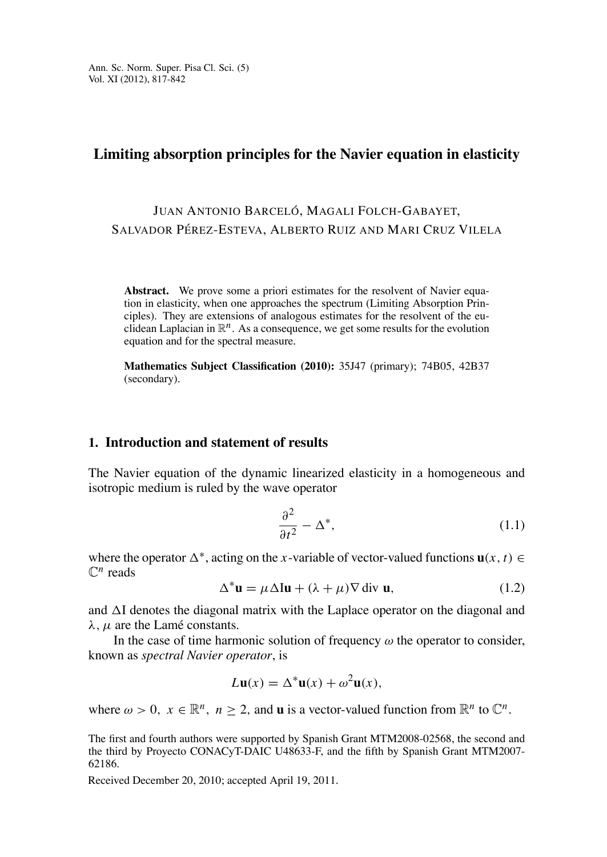## Limiting absorption principles for the Navier equation in elasticity

# JUAN ANTONIO BARCELÓ, MAGALI FOLCH-GABAYET, SALVADOR PÉREZ-ESTEVA, ALBERTO RUIZ AND MARI CRUZ VILELA

Abstract. We prove some a priori estimates for the resolvent of Navier equation in elasticity, when one approaches the spectrum (Limiting Absorption Principles). They are extensions of analogous estimates for the resolvent of the euclidean Laplacian in  $\mathbb{R}^n$ . As a consequence, we get some results for the evolution equation and for the spectral measure.

Mathematics Subject Classification (2010): 35J47 (primary); 74B05, 42B37 (secondary).

#### 1. Introduction and statement of results

The Navier equation of the dynamic linearized elasticity in a homogeneous and isotropic medium is ruled by the wave operator

$$
\frac{\partial^2}{\partial t^2} - \Delta^*,\tag{1.1}
$$

where the operator  $\Delta^*$ , acting on the x-variable of vector-valued functions  $\mathbf{u}(x, t) \in$  $\mathbb{C}^n$  reads

$$
\Delta^* \mathbf{u} = \mu \Delta \mathbf{I} \mathbf{u} + (\lambda + \mu) \nabla \operatorname{div} \mathbf{u},\tag{1.2}
$$

and  $\Delta I$  denotes the diagonal matrix with the Laplace operator on the diagonal and  $\lambda$ ,  $\mu$  are the Lamé constants.

In the case of time harmonic solution of frequency  $\omega$  the operator to consider, known as *spectral Navier operator*, is

$$
L\mathbf{u}(x) = \Delta^* \mathbf{u}(x) + \omega^2 \mathbf{u}(x),
$$

where  $\omega > 0$ ,  $x \in \mathbb{R}^n$ ,  $n \ge 2$ , and **u** is a vector-valued function from  $\mathbb{R}^n$  to  $\mathbb{C}^n$ .

The first and fourth authors were supported by Spanish Grant MTM2008-02568, the second and the third by Proyecto CONACyT-DAIC U48633-F, and the fifth by Spanish Grant MTM2007-62186.

Received December 20, 2010; accepted April 19, 2011.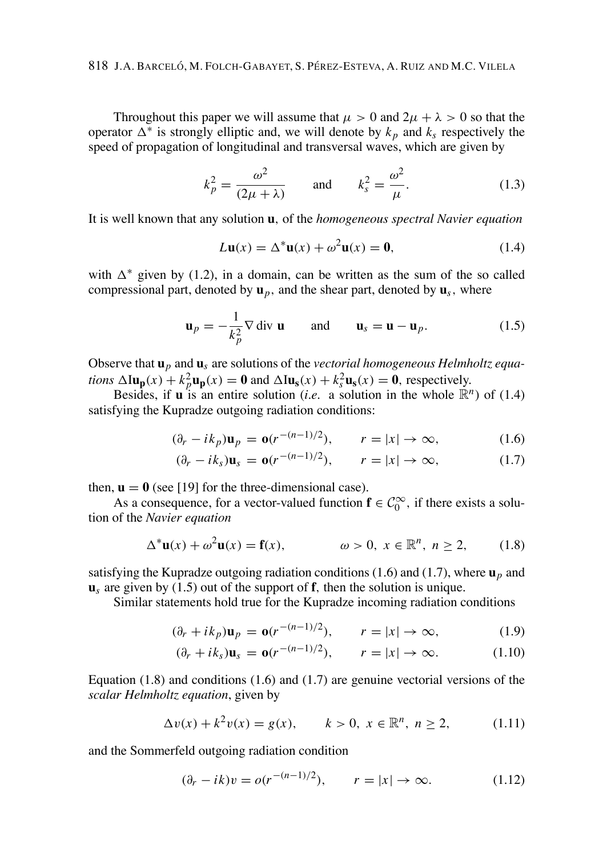Throughout this paper we will assume that  $\mu > 0$  and  $2\mu + \lambda > 0$  so that the operator  $\Delta^*$  is strongly elliptic and, we will denote by  $k_p$  and  $k_s$  respectively the speed of propagation of longitudinal and transversal waves, which are given by

$$
k_p^2 = \frac{\omega^2}{(2\mu + \lambda)} \quad \text{and} \quad k_s^2 = \frac{\omega^2}{\mu}.
$$
 (1.3)

It is well known that any solution **u**, of the *homogeneous spectral Navier equation* 

$$
L\mathbf{u}(x) = \Delta^* \mathbf{u}(x) + \omega^2 \mathbf{u}(x) = \mathbf{0},\tag{1.4}
$$

with  $\Delta^*$  given by (1.2), in a domain, can be written as the sum of the so called compressional part, denoted by  $\mathbf{u}_p$ , and the shear part, denoted by  $\mathbf{u}_s$ , where

$$
\mathbf{u}_p = -\frac{1}{k_p^2} \nabla \operatorname{div} \mathbf{u} \quad \text{and} \quad \mathbf{u}_s = \mathbf{u} - \mathbf{u}_p. \tag{1.5}
$$

Observe that  $\mathbf{u}_p$  and  $\mathbf{u}_s$  are solutions of the vectorial homogeneous Helmholtz equations  $\Delta I \mathbf{u_p}(x) + k_n^2 \mathbf{u_p}(x) = \mathbf{0}$  and  $\Delta I \mathbf{u_s}(x) + k_s^2 \mathbf{u_s}(x) = \mathbf{0}$ , respectively.

Besides, if **u** is an entire solution *(i.e.* a solution in the whole  $\mathbb{R}^n$ ) of (1.4) satisfying the Kupradze outgoing radiation conditions:

$$
(\partial_r - ik_p)\mathbf{u}_p = \mathbf{o}(r^{-(n-1)/2}), \qquad r = |x| \to \infty,
$$
 (1.6)

$$
(\partial_r - ik_s)\mathbf{u}_s = \mathbf{o}(r^{-(n-1)/2}), \qquad r = |x| \to \infty,
$$
 (1.7)

then,  $\mathbf{u} = \mathbf{0}$  (see [19] for the three-dimensional case).

As a consequence, for a vector-valued function  $f \in C_0^{\infty}$ , if there exists a solution of the Navier equation

$$
\Delta^* \mathbf{u}(x) + \omega^2 \mathbf{u}(x) = \mathbf{f}(x), \qquad \omega > 0, \ x \in \mathbb{R}^n, \ n \ge 2, \qquad (1.8)
$$

satisfying the Kupradze outgoing radiation conditions (1.6) and (1.7), where  $\mathbf{u}_p$  and  $\mathbf{u}_s$  are given by (1.5) out of the support of  $\mathbf{f}$ , then the solution is unique.

Similar statements hold true for the Kupradze incoming radiation conditions

$$
(\partial_r + ik_p)\mathbf{u}_p = \mathbf{o}(r^{-(n-1)/2}), \qquad r = |x| \to \infty,
$$
 (1.9)

$$
(\partial_r + ik_s)\mathbf{u}_s = \mathbf{o}(r^{-(n-1)/2}), \qquad r = |x| \to \infty.
$$
 (1.10)

Equation  $(1.8)$  and conditions  $(1.6)$  and  $(1.7)$  are genuine vectorial versions of the scalar Helmholtz equation, given by

$$
\Delta v(x) + k^2 v(x) = g(x), \qquad k > 0, \ x \in \mathbb{R}^n, \ n \ge 2,
$$
 (1.11)

and the Sommerfeld outgoing radiation condition

$$
(\partial_r - ik)v = o(r^{-(n-1)/2}), \qquad r = |x| \to \infty.
$$
 (1.12)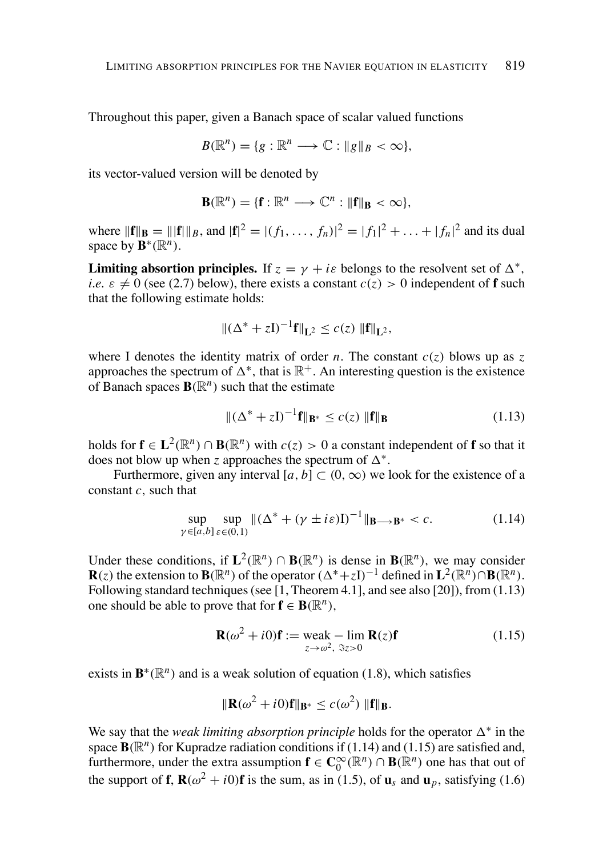Throughout this paper, given a Banach space of scalar valued functions

$$
B(\mathbb{R}^n) = \{g : \mathbb{R}^n \longrightarrow \mathbb{C} : \|g\|_B < \infty\},
$$

its vector-valued version will be denoted by

$$
\mathbf{B}(\mathbb{R}^n) = \{\mathbf{f} : \mathbb{R}^n \longrightarrow \mathbb{C}^n : \|\mathbf{f}\|_{\mathbf{B}} < \infty\},\
$$

where  $||{\bf f}||_{{\bf R}} = ||{\bf f}||_{{\bf R}}$ , and  $|{\bf f}|^2 = |(f_1, \ldots, f_n)|^2 = |f_1|^2 + \ldots + |f_n|^2$  and its dual space by  $\mathbf{B}^*(\mathbb{R}^n)$ .

**Limiting absortion principles.** If  $z = \gamma + i\varepsilon$  belongs to the resolvent set of  $\Delta^*$ , *i.e.*  $\varepsilon \neq 0$  (see (2.7) below), there exists a constant  $c(z) > 0$  independent of **f** such that the following estimate holds:

$$
\|(\Delta^* + zI)^{-1}f\|_{L^2} \le c(z) \|f\|_{L^2},
$$

where I denotes the identity matrix of order *n*. The constant  $c(z)$  blows up as z approaches the spectrum of  $\Delta^*$ , that is  $\mathbb{R}^+$ . An interesting question is the existence of Banach spaces  $\mathbf{B}(\mathbb{R}^n)$  such that the estimate

$$
\|(\Delta^* + z\mathbf{I})^{-1}\mathbf{f}\|_{\mathbf{B}^*} \le c(z) \|\mathbf{f}\|_{\mathbf{B}}
$$
\n(1.13)

holds for  $f \in L^2(\mathbb{R}^n) \cap B(\mathbb{R}^n)$  with  $c(z) > 0$  a constant independent of f so that it does not blow up when z approaches the spectrum of  $\Delta^*$ .

Furthermore, given any interval [a, b]  $\subset$  (0,  $\infty$ ) we look for the existence of a constant  $c$ , such that

$$
\sup_{\gamma \in [a,b]} \sup_{\varepsilon \in (0,1)} \| (\Delta^* + (\gamma \pm i\varepsilon)I)^{-1} \|_{\mathbf{B} \to \mathbf{B}^*} < c. \tag{1.14}
$$

Under these conditions, if  $L^2(\mathbb{R}^n) \cap B(\mathbb{R}^n)$  is dense in  $B(\mathbb{R}^n)$ , we may consider  $\mathbf{R}(z)$  the extension to  $\mathbf{B}(\mathbb{R}^n)$  of the operator  $(\Delta^* + zI)^{-1}$  defined in  $\mathbf{L}^2(\mathbb{R}^n) \cap \mathbf{B}(\mathbb{R}^n)$ . Following standard techniques (see [1, Theorem 4.1], and see also [20]), from  $(1.13)$ one should be able to prove that for  $f \in B(\mathbb{R}^n)$ .

$$
\mathbf{R}(\omega^2 + i0)\mathbf{f} := \text{weak} - \lim_{z \to \omega^2, \ \Im z > 0} \mathbf{R}(z)\mathbf{f}
$$
 (1.15)

exists in  $\mathbf{B}^*(\mathbb{R}^n)$  and is a weak solution of equation (1.8), which satisfies

$$
\|\mathbf{R}(\omega^2 + i0)\mathbf{f}\|_{\mathbf{B}^*} \le c(\omega^2) \|\mathbf{f}\|_{\mathbf{B}}
$$

We say that the *weak limiting absorption principle* holds for the operator  $\Delta^*$  in the space  $\mathbf{B}(\mathbb{R}^n)$  for Kupradze radiation conditions if (1.14) and (1.15) are satisfied and, furthermore, under the extra assumption  $f \in C_0^{\infty}(\mathbb{R}^n) \cap B(\mathbb{R}^n)$  one has that out of the support of **f**,  $\mathbf{R}(\omega^2 + i0)\mathbf{f}$  is the sum, as in (1.5), of  $\mathbf{u}_s$  and  $\mathbf{u}_p$ , satisfying (1.6)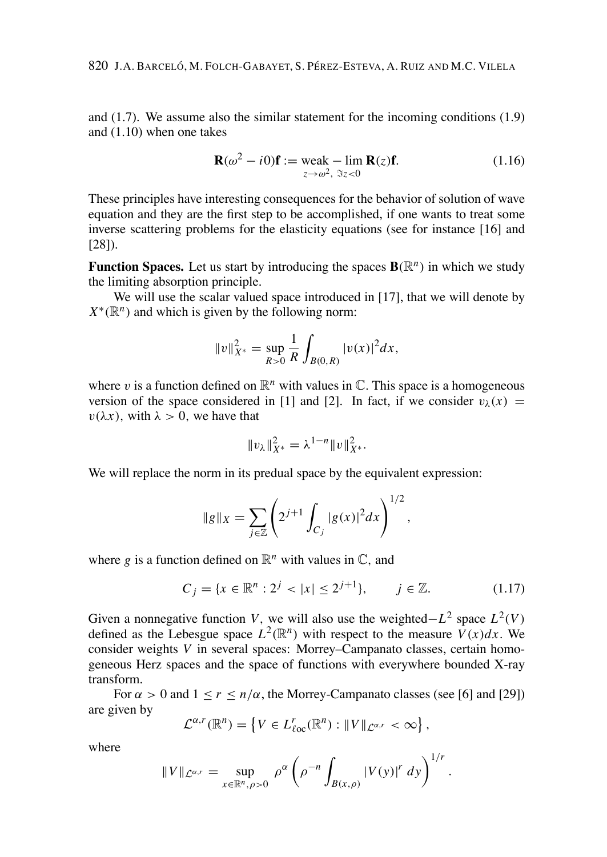and  $(1.7)$ . We assume also the similar statement for the incoming conditions  $(1.9)$ and  $(1.10)$  when one takes

$$
\mathbf{R}(\omega^2 - i0)\mathbf{f} := \text{weak} - \lim_{z \to \omega^2, \ \Im z < 0} \mathbf{R}(z)\mathbf{f}.\tag{1.16}
$$

These principles have interesting consequences for the behavior of solution of wave equation and they are the first step to be accomplished, if one wants to treat some inverse scattering problems for the elasticity equations (see for instance [16] and  $[28]$ .

**Function Spaces.** Let us start by introducing the spaces  $\mathbf{B}(\mathbb{R}^n)$  in which we study the limiting absorption principle.

We will use the scalar valued space introduced in [17], that we will denote by  $X^*(\mathbb{R}^n)$  and which is given by the following norm:

$$
||v||_{X^*}^2 = \sup_{R>0} \frac{1}{R} \int_{B(0,R)} |v(x)|^2 dx,
$$

where v is a function defined on  $\mathbb{R}^n$  with values in  $\mathbb{C}$ . This space is a homogeneous version of the space considered in [1] and [2]. In fact, if we consider  $v_{\lambda}(x)$  =  $v(\lambda x)$ , with  $\lambda > 0$ , we have that

$$
||v_{\lambda}||_{X^{*}}^{2} = \lambda^{1-n} ||v||_{X^{*}}^{2}.
$$

We will replace the norm in its predual space by the equivalent expression:

$$
\|g\|_X = \sum_{j\in\mathbb{Z}} \left( 2^{j+1} \int_{C_j} |g(x)|^2 dx \right)^{1/2},
$$

where g is a function defined on  $\mathbb{R}^n$  with values in  $\mathbb{C}$ , and

$$
C_j = \{x \in \mathbb{R}^n : 2^j < |x| \le 2^{j+1}\}, \qquad j \in \mathbb{Z}.\tag{1.17}
$$

 $\sim$   $\sim$ 

Given a nonnegative function V, we will also use the weighted– $L^2$  space  $L^2(V)$ defined as the Lebesgue space  $L^2(\mathbb{R}^n)$  with respect to the measure  $V(x)dx$ . We consider weights V in several spaces: Morrey–Campanato classes, certain homogeneous Herz spaces and the space of functions with everywhere bounded X-ray transform.

For  $\alpha > 0$  and  $1 \le r \le n/\alpha$ , the Morrey-Campanato classes (see [6] and [29]) are given by

$$
\mathcal{L}^{\alpha,r}(\mathbb{R}^n) = \left\{ V \in L^r_{\ell \infty}(\mathbb{R}^n) : ||V||_{\mathcal{L}^{\alpha,r}} < \infty \right\},\
$$

where

$$
||V||_{\mathcal{L}^{\alpha,r}} = \sup_{x \in \mathbb{R}^n, \rho > 0} \rho^{\alpha} \left( \rho^{-n} \int_{B(x,\rho)} |V(y)|^r \ dy \right)^{1/r}.
$$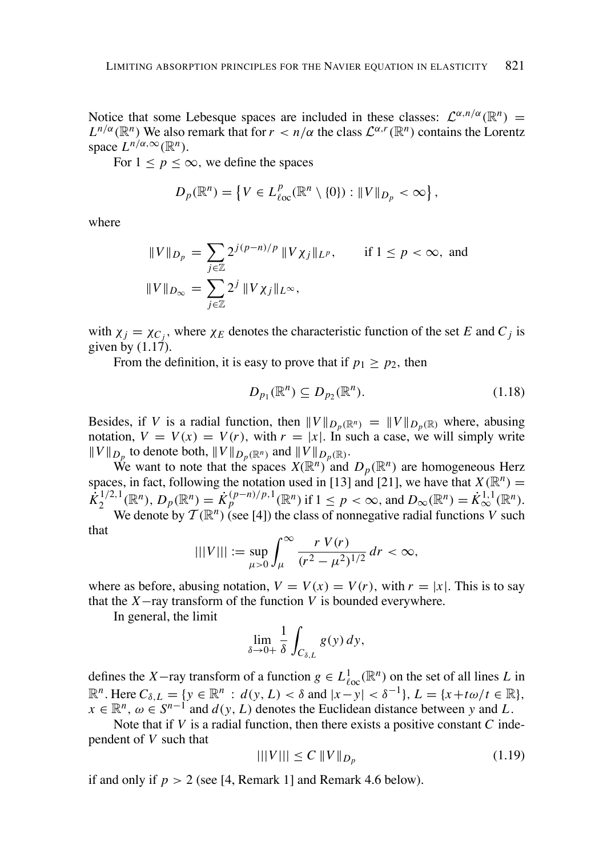Notice that some Lebesque spaces are included in these classes:  $\mathcal{L}^{\alpha,n/\alpha}(\mathbb{R}^n)$  =  $L^{n/\alpha}(\mathbb{R}^n)$  We also remark that for  $r < n/\alpha$  the class  $\mathcal{L}^{\alpha,r}(\mathbb{R}^n)$  contains the Lorentz space  $L^{n/\alpha,\infty}(\mathbb{R}^n)$ .

For  $1 \le p \le \infty$ , we define the spaces

$$
D_p(\mathbb{R}^n) = \left\{ V \in L^p_{\text{loc}}(\mathbb{R}^n \setminus \{0\}) : ||V||_{D_p} < \infty \right\},\
$$

where

$$
||V||_{D_p} = \sum_{j \in \mathbb{Z}} 2^{j(p-n)/p} ||V \chi_j||_{L^p}, \quad \text{if } 1 \le p < \infty, \text{ and}
$$

$$
||V||_{D_\infty} = \sum_{j \in \mathbb{Z}} 2^j ||V \chi_j||_{L^\infty},
$$

with  $\chi_i = \chi_{C_i}$ , where  $\chi_E$  denotes the characteristic function of the set E and C<sub>i</sub> is given by  $(1.17)$ .

From the definition, it is easy to prove that if  $p_1 \ge p_2$ , then

$$
D_{p_1}(\mathbb{R}^n) \subseteq D_{p_2}(\mathbb{R}^n). \tag{1.18}
$$

Besides, if V is a radial function, then  $||V||_{D_n(\mathbb{R}^n)} = ||V||_{D_n(\mathbb{R})}$  where, abusing notation,  $V = V(x) = V(r)$ , with  $r = |x|$ . In such a case, we will simply write  $||V||_{D_n}$  to denote both,  $||V||_{D_n(\mathbb{R}^n)}$  and  $||V||_{D_n(\mathbb{R})}$ .

We want to note that the spaces  $X(\mathbb{R}^n)$  and  $D_p(\mathbb{R}^n)$  are homogeneous Herz spaces, in fact, following the notation used in [13] and [21], we have that  $X(\mathbb{R}^n)$  =  $\dot{\tilde{K}}_2^{1/2,1}(\mathbb{R}^n), D_p(\mathbb{R}^n) = \dot{K}_p^{(p-n)/p,1}(\mathbb{R}^n)$  if  $1 \le p < \infty$ , and  $D_\infty(\mathbb{R}^n) = \dot{K}_\infty^{1,1}(\mathbb{R}^n)$ . We denote by  $\mathcal{T}(\mathbb{R}^n)$  (see [4]) the class of nonnegative radial functions V such

that

$$
|||V||| := \sup_{\mu > 0} \int_{\mu}^{\infty} \frac{r V(r)}{(r^2 - \mu^2)^{1/2}} dr < \infty,
$$

where as before, abusing notation,  $V = V(x) = V(r)$ , with  $r = |x|$ . This is to say that the  $X$ -ray transform of the function V is bounded everywhere.

In general, the limit

$$
\lim_{\delta \to 0+} \frac{1}{\delta} \int_{C_{\delta,L}} g(y) \, dy,
$$

defines the X-ray transform of a function  $g \in L^1_{loc}(\mathbb{R}^n)$  on the set of all lines L in  $\mathbb{R}^n$ . Here  $C_{\delta,L} = \{y \in \mathbb{R}^n : d(y,L) < \delta \text{ and } |x-y| < \delta^{-1}\}, L = \{x+t\omega/t \in \mathbb{R}\},$  $x \in \mathbb{R}^n$ ,  $\omega \in S^{n-1}$  and  $d(y, L)$  denotes the Euclidean distance between y and L.

Note that if  $V$  is a radial function, then there exists a positive constant  $C$  independent of V such that

$$
|||V||| \le C ||V||_{D_p} \tag{1.19}
$$

if and only if  $p > 2$  (see [4, Remark 1] and Remark 4.6 below).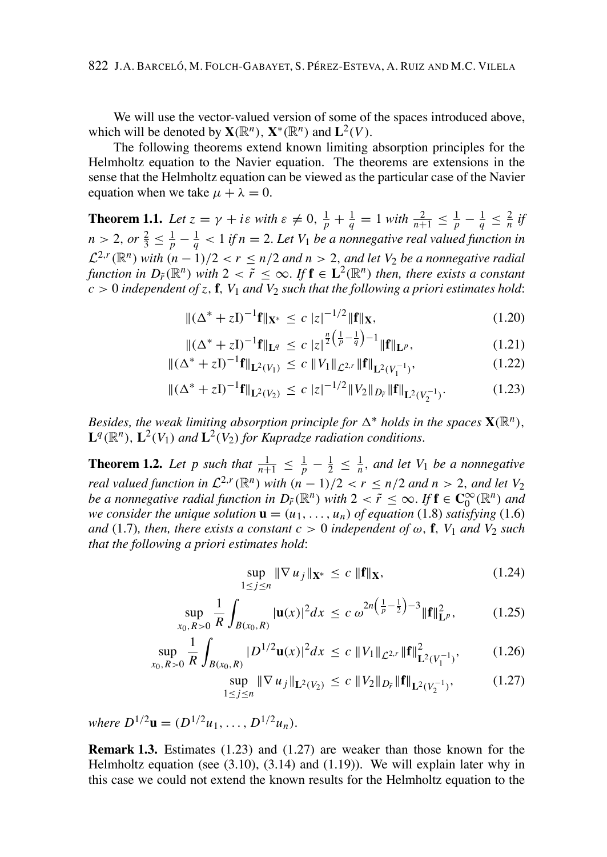We will use the vector-valued version of some of the spaces introduced above. which will be denoted by  $\mathbf{X}(\mathbb{R}^n)$ ,  $\mathbf{X}^*(\mathbb{R}^n)$  and  $\mathbf{L}^2(V)$ .

The following theorems extend known limiting absorption principles for the Helmholtz equation to the Navier equation. The theorems are extensions in the sense that the Helmholtz equation can be viewed as the particular case of the Navier equation when we take  $\mu + \lambda = 0$ .

**Theorem 1.1.** Let  $z = \gamma + i\varepsilon$  with  $\varepsilon \neq 0$ ,  $\frac{1}{p} + \frac{1}{q} = 1$  with  $\frac{2}{n+1} \leq \frac{1}{p} - \frac{1}{q} \leq \frac{2}{n}$  if  $n > 2$ , or  $\frac{2}{3} \leq \frac{1}{p} - \frac{1}{q} < 1$  if  $n = 2$ . Let  $V_1$  be a nonnegative real valued function in  $\mathcal{L}^{2,r}(\mathbb{R}^n)$  with  $(n-1)/2 < r \le n/2$  and  $n > 2$ , and let  $V_2$  be a nonnegative radial function in  $D_{\tilde{r}}(\mathbb{R}^n)$  with  $2 < \tilde{r} \le \infty$ . If  $\mathbf{f} \in \mathbf{L}^2(\mathbb{R}^n)$  then, there exists a constant  $\mathcal{L}_c > 0$  independent of z, f,  $V_1$  and  $V_2$  such that the following a priori estimates hold:

$$
\|(\Delta^* + zI)^{-1}\mathbf{f}\|_{\mathbf{X}^*} \le c \, |z|^{-1/2} \|\mathbf{f}\|_{\mathbf{X}},\tag{1.20}
$$

$$
\|(\Delta^* + zI)^{-1}f\|_{\mathbf{L}^q} \le c \, |z|^{\frac{n}{2}\left(\frac{1}{p} - \frac{1}{q}\right) - 1} \|f\|_{\mathbf{L}^p},\tag{1.21}
$$

$$
\|(\Delta^* + zI)^{-1}\mathbf{f}\|_{\mathbf{L}^2(V_1)} \le c \|V_1\|_{\mathcal{L}^{2,r}} \|\mathbf{f}\|_{\mathbf{L}^2(V_1^{-1})},\tag{1.22}
$$

$$
\|(\Delta^* + zI)^{-1}f\|_{\mathbf{L}^2(V_2)} \le c |z|^{-1/2} \|V_2\|_{D_{\bar{r}}} \|f\|_{\mathbf{L}^2(V_2^{-1})}. \tag{1.23}
$$

Besides, the weak limiting absorption principle for  $\Delta^*$  holds in the spaces  $\mathbf{X}(\mathbb{R}^n)$ ,  $\mathbf{L}^q(\mathbb{R}^n)$ ,  $\mathbf{L}^2(V_1)$  and  $\mathbf{L}^2(V_2)$  for Kupradze radiation conditions.

**Theorem 1.2.** Let p such that  $\frac{1}{n+1} \leq \frac{1}{p} - \frac{1}{2} \leq \frac{1}{n}$ , and let  $V_1$  be a nonnegative real valued function in  $\mathcal{L}^{2,r}(\mathbb{R}^n)$  with  $(n-1)/2 < r \leq n/2$  and  $n > 2$ , and let  $V_2$ be a nonnegative radial function in  $D_{\tilde{r}}(\mathbb{R}^n)$  with  $2 < \tilde{r} \leq \infty$ . If  $f \in C_0^{\infty}(\mathbb{R}^n)$  and we consider the unique solution  $\mathbf{u} = (u_1, \dots, u_n)$  of equation (1.8) satisfying (1.6) and (1.7), then, there exists a constant  $c > 0$  independent of  $\omega$ , **f**,  $V_1$  and  $V_2$  such that the following a priori estimates hold:

$$
\sup_{1 \le j \le n} \|\nabla u_j\|_{\mathbf{X}^*} \le c \|\mathbf{f}\|_{\mathbf{X}},\tag{1.24}
$$

$$
\sup_{x_0, R>0} \frac{1}{R} \int_{B(x_0, R)} |\mathbf{u}(x)|^2 dx \le c \omega^{2n \left(\frac{1}{p} - \frac{1}{2}\right) - 3} \|\mathbf{f}\|_{\mathbf{L}^p}^2, \tag{1.25}
$$

$$
\sup_{x_0, R>0} \frac{1}{R} \int_{B(x_0, R)} |D^{1/2} \mathbf{u}(x)|^2 dx \le c \|V_1\|_{\mathcal{L}^{2,r}} \|\mathbf{f}\|_{\mathbf{L}^{2}(V_1^{-1})}^2, \qquad (1.26)
$$

$$
\sup_{1 \le j \le n} \|\nabla u_j\|_{\mathbf{L}^2(V_2)} \le c \|V_2\|_{D_{\tilde{r}}} \|\mathbf{f}\|_{\mathbf{L}^2(V_2^{-1})},\tag{1.27}
$$

where  $D^{1/2}$ **u** =  $(D^{1/2}u_1, ..., D^{1/2}u_n)$ .

**Remark 1.3.** Estimates  $(1.23)$  and  $(1.27)$  are weaker than those known for the Helmholtz equation (see  $(3.10)$ ,  $(3.14)$  and  $(1.19)$ ). We will explain later why in this case we could not extend the known results for the Helmholtz equation to the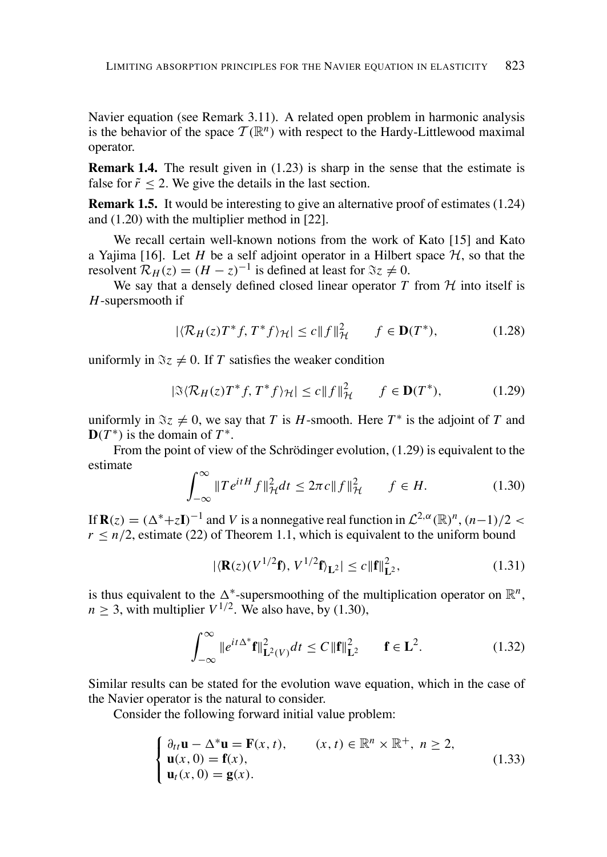Navier equation (see Remark 3.11). A related open problem in harmonic analysis is the behavior of the space  $\mathcal{T}(\mathbb{R}^n)$  with respect to the Hardy-Littlewood maximal operator.

**Remark 1.4.** The result given in  $(1.23)$  is sharp in the sense that the estimate is false for  $\tilde{r}$  < 2. We give the details in the last section.

**Remark 1.5.** It would be interesting to give an alternative proof of estimates (1.24) and  $(1.20)$  with the multiplier method in [22].

We recall certain well-known notions from the work of Kato [15] and Kato a Yajima [16]. Let H be a self adjoint operator in a Hilbert space  $H$ , so that the resolvent  $\mathcal{R}_H(z) = (H - z)^{-1}$  is defined at least for  $\Im z \neq 0$ .

We sav that a densely defined closed linear operator  $T$  from  $H$  into itself is  $H$ -supersmooth if

$$
|\langle \mathcal{R}_H(z)T^*f, T^*f \rangle_{\mathcal{H}}| \le c \|f\|_{\mathcal{H}}^2 \qquad f \in \mathbf{D}(T^*), \tag{1.28}
$$

uniformly in  $\Im z \neq 0$ . If T satisfies the weaker condition

$$
|\Im \langle \mathcal{R}_H(z) T^* f, T^* f \rangle_{\mathcal{H}}| \le c \|f\|_{\mathcal{H}}^2 \qquad f \in \mathbf{D}(T^*), \tag{1.29}
$$

uniformly in  $\Im z \neq 0$ , we say that T is H-smooth. Here  $T^*$  is the adjoint of T and  $\mathbf{D}(T^*)$  is the domain of  $T^*$ .

From the point of view of the Schrödinger evolution,  $(1.29)$  is equivalent to the estimate

$$
\int_{-\infty}^{\infty} \|Te^{itH}f\|_{\mathcal{H}}^2 dt \le 2\pi c \|f\|_{\mathcal{H}}^2 \qquad f \in H. \tag{1.30}
$$

If  $\mathbf{R}(z) = (\Delta^* + z\mathbf{I})^{-1}$  and V is a nonnegative real function in  $\mathcal{L}^{2,\alpha}(\mathbb{R})^n$ ,  $(n-1)/2$  <  $r \le n/2$ , estimate (22) of Theorem 1.1, which is equivalent to the uniform bound

$$
|\langle \mathbf{R}(z)(V^{1/2}\mathbf{f}), V^{1/2}\mathbf{f} \rangle_{\mathbf{L}^2}| \le c \|\mathbf{f}\|_{\mathbf{L}^2}^2,
$$
 (1.31)

is thus equivalent to the  $\Delta^*$ -supersmoothing of the multiplication operator on  $\mathbb{R}^n$ ,  $n > 3$ , with multiplier  $V^{1/2}$ . We also have, by (1.30),

$$
\int_{-\infty}^{\infty} \|e^{it\Delta^*} \mathbf{f}\|_{\mathbf{L}^2(V)}^2 dt \le C \|\mathbf{f}\|_{\mathbf{L}^2}^2 \qquad \mathbf{f} \in \mathbf{L}^2. \tag{1.32}
$$

Similar results can be stated for the evolution wave equation, which in the case of the Navier operator is the natural to consider.

Consider the following forward initial value problem:

$$
\begin{cases} \n\partial_{tt}\mathbf{u} - \Delta^* \mathbf{u} = \mathbf{F}(x, t), & (x, t) \in \mathbb{R}^n \times \mathbb{R}^+, \ n \ge 2, \\
\mathbf{u}(x, 0) = \mathbf{f}(x), & (1.33) \\
\mathbf{u}_t(x, 0) = \mathbf{g}(x). \n\end{cases}
$$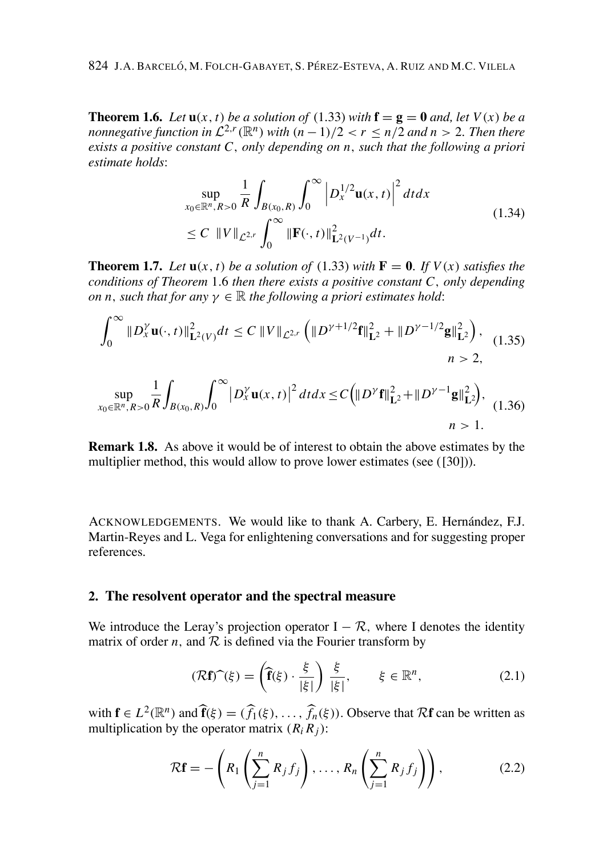**Theorem 1.6.** Let  $u(x, t)$  be a solution of (1.33) with  $f = g = 0$  and, let  $V(x)$  be a nonnegative function in  $\mathcal{L}^{2,r}(\mathbb{R}^n)$  with  $(n-1)/2 < r < n/2$  and  $n > 2$ . Then there exists a positive constant  $C$ , only depending on n, such that the following a priori estimate holds:

$$
\sup_{x_0 \in \mathbb{R}^n, R>0} \frac{1}{R} \int_{B(x_0, R)} \int_0^\infty \left| D_x^{1/2} \mathbf{u}(x, t) \right|^2 dt dx
$$
\n
$$
\leq C \quad ||V||_{\mathcal{L}^{2,r}} \int_0^\infty ||\mathbf{F}(\cdot, t)||_{\mathbf{L}^2(V^{-1})}^2 dt. \tag{1.34}
$$

**Theorem 1.7.** Let  $u(x, t)$  be a solution of (1.33) with  $F = 0$ . If  $V(x)$  satisfies the conditions of Theorem 1.6 then there exists a positive constant  $C$ , only depending on n, such that for any  $\gamma \in \mathbb{R}$  the following a priori estimates hold:

$$
\int_0^\infty \|D_x^{\gamma} \mathbf{u}(\cdot, t)\|_{\mathbf{L}^2(V)}^2 dt \le C \|V\|_{\mathcal{L}^{2,r}} \left( \|D^{\gamma+1/2} \mathbf{f}\|_{\mathbf{L}^2}^2 + \|D^{\gamma-1/2} \mathbf{g}\|_{\mathbf{L}^2}^2 \right), \quad (1.35)
$$

$$
\sup_{x_0 \in \mathbb{R}^n, R>0} \frac{1}{R} \int_{B(x_0, R)} \int_0^\infty |D_x^{\gamma} \mathbf{u}(x, t)|^2 dt dx \le C \Big( \|D^{\gamma} \mathbf{f}\|_{\mathbf{L}^2}^2 + \|D^{\gamma - 1} \mathbf{g}\|_{\mathbf{L}^2}^2 \Big), \quad (1.36)
$$

**Remark 1.8.** As above it would be of interest to obtain the above estimates by the multiplier method, this would allow to prove lower estimates (see ([30])).

ACKNOWLEDGEMENTS. We would like to thank A. Carbery, E. Hernández, F.J. Martin-Reyes and L. Vega for enlightening conversations and for suggesting proper references

## 2. The resolvent operator and the spectral measure

We introduce the Leray's projection operator  $I - \mathcal{R}$ , where I denotes the identity matrix of order *n*, and  $R$  is defined via the Fourier transform by

$$
(\mathcal{R}\mathbf{f})\widehat{\phantom{a}}(\xi) = \left(\widehat{\mathbf{f}}(\xi) \cdot \frac{\xi}{|\xi|}\right) \frac{\xi}{|\xi|}, \qquad \xi \in \mathbb{R}^n, \tag{2.1}
$$

with  $f \in L^2(\mathbb{R}^n)$  and  $\hat{f}(\xi) = (\hat{f}_1(\xi), \dots, \hat{f}_n(\xi))$ . Observe that  $\mathcal{R}f$  can be written as multiplication by the operator matrix  $(R_i R_j)$ :

$$
\mathcal{R}\mathbf{f} = -\left(R_1\left(\sum_{j=1}^n R_j f_j\right), \dots, R_n\left(\sum_{j=1}^n R_j f_j\right)\right),\tag{2.2}
$$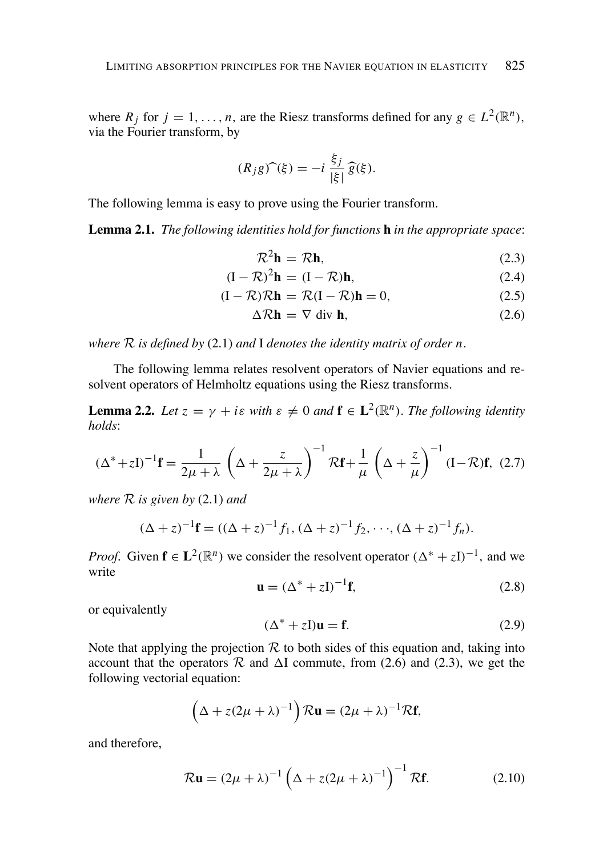where  $R_j$  for  $j = 1, ..., n$ , are the Riesz transforms defined for any  $g \in L^2(\mathbb{R}^n)$ , via the Fourier transform, by

$$
(R_j g)^\frown(\xi) = -i \, \frac{\xi_j}{|\xi|} \, \widehat{g}(\xi).
$$

The following lemma is easy to prove using the Fourier transform.

**Lemma 2.1.** The following identities hold for functions **h** in the appropriate space:

$$
\mathcal{R}^2 \mathbf{h} = \mathcal{R} \mathbf{h},\tag{2.3}
$$

$$
(\mathbf{I} - \mathcal{R})^2 \mathbf{h} = (\mathbf{I} - \mathcal{R})\mathbf{h},\tag{2.4}
$$

$$
(I - \mathcal{R})\mathcal{R}\mathbf{h} = \mathcal{R}(I - \mathcal{R})\mathbf{h} = 0,
$$
\n(2.5)

$$
\Delta \mathcal{R} \mathbf{h} = \nabla \text{ div } \mathbf{h},\tag{2.6}
$$

where  $R$  is defined by (2.1) and I denotes the identity matrix of order n.

The following lemma relates resolvent operators of Navier equations and resolvent operators of Helmholtz equations using the Riesz transforms.

**Lemma 2.2.** Let  $z = \gamma + i\varepsilon$  with  $\varepsilon \neq 0$  and  $\mathbf{f} \in L^2(\mathbb{R}^n)$ . The following identity  $holds$ 

$$
(\Delta^* + zI)^{-1}\mathbf{f} = \frac{1}{2\mu + \lambda} \left(\Delta + \frac{z}{2\mu + \lambda}\right)^{-1} \mathcal{R}\mathbf{f} + \frac{1}{\mu} \left(\Delta + \frac{z}{\mu}\right)^{-1} (I - \mathcal{R})\mathbf{f}, (2.7)
$$

where  $R$  is given by (2.1) and

$$
(\Delta + z)^{-1} \mathbf{f} = ((\Delta + z)^{-1} f_1, (\Delta + z)^{-1} f_2, \cdots, (\Delta + z)^{-1} f_n).
$$

*Proof.* Given  $f \in L^2(\mathbb{R}^n)$  we consider the resolvent operator  $(\Delta^* + zI)^{-1}$ , and we write

$$
\mathbf{u} = (\Delta^* + z\mathbf{I})^{-1}\mathbf{f},\tag{2.8}
$$

or equivalently

$$
(\Delta^* + zI)\mathbf{u} = \mathbf{f}.\tag{2.9}
$$

Note that applying the projection  $R$  to both sides of this equation and, taking into account that the operators  $\mathcal R$  and  $\Delta I$  commute, from (2.6) and (2.3), we get the following vectorial equation:

$$
\left(\Delta + z(2\mu + \lambda)^{-1}\right)R\mathbf{u} = (2\mu + \lambda)^{-1}R\mathbf{f},
$$

and therefore.

$$
\mathcal{R}\mathbf{u} = (2\mu + \lambda)^{-1} \left( \Delta + z(2\mu + \lambda)^{-1} \right)^{-1} \mathcal{R}\mathbf{f}.
$$
 (2.10)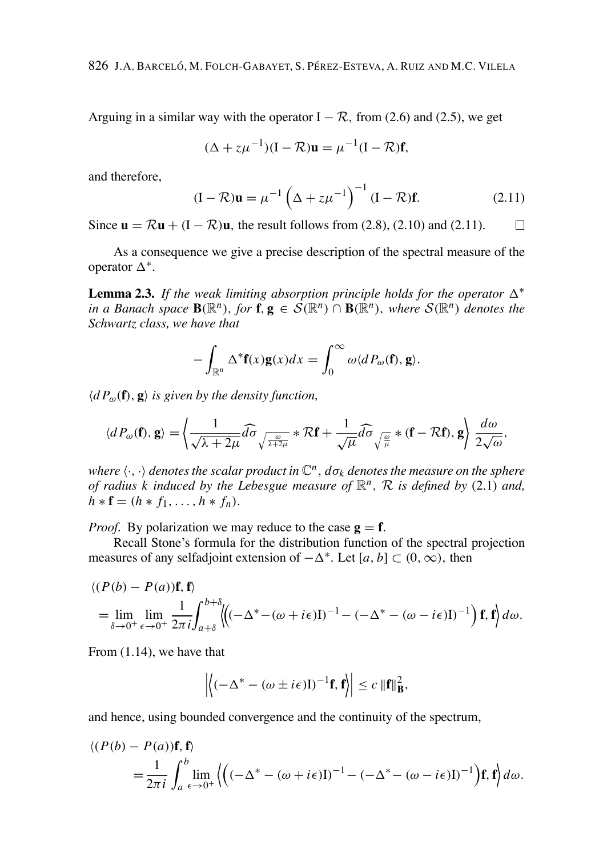Arguing in a similar way with the operator  $I - \mathcal{R}$ , from (2.6) and (2.5), we get

$$
(\Delta + z\mu^{-1})(I - \mathcal{R})\mathbf{u} = \mu^{-1}(I - \mathcal{R})\mathbf{f},
$$

and therefore,

$$
(\mathbf{I} - \mathcal{R})\mathbf{u} = \mu^{-1} \left(\Delta + z\mu^{-1}\right)^{-1} (\mathbf{I} - \mathcal{R})\mathbf{f}.
$$
 (2.11)

Since  $\mathbf{u} = \mathcal{R}\mathbf{u} + (I - \mathcal{R})\mathbf{u}$ , the result follows from (2.8), (2.10) and (2.11).  $\Box$ 

As a consequence we give a precise description of the spectral measure of the operator  $\Delta^*$ .

**Lemma 2.3.** If the weak limiting absorption principle holds for the operator  $\Delta^*$ in a Banach space  $\mathbf{B}(\mathbb{R}^n)$ , for  $\mathbf{f}, \mathbf{g} \in \mathcal{S}(\mathbb{R}^n) \cap \mathbf{B}(\mathbb{R}^n)$ , where  $\mathcal{S}(\mathbb{R}^n)$  denotes the Schwartz class, we have that

$$
-\int_{\mathbb{R}^n} \Delta^* \mathbf{f}(x) \mathbf{g}(x) dx = \int_0^\infty \omega \langle dP_\omega(\mathbf{f}), \mathbf{g} \rangle.
$$

 $\langle dP_{\omega}(\mathbf{f}), \mathbf{g} \rangle$  is given by the density function,

$$
\langle dP_{\omega}(\mathbf{f}), \mathbf{g} \rangle = \left\langle \frac{1}{\sqrt{\lambda + 2\mu}} \widehat{d\sigma} \frac{\partial}{\partial \lambda + 2\mu} \mathbf{f} + \frac{1}{\sqrt{\mu}} \widehat{d\sigma} \frac{\partial}{\partial \mu} \mathbf{f} + \mathbf{f} \mathbf{f} \right\rangle.
$$

where  $\langle \cdot, \cdot \rangle$  denotes the scalar product in  $\mathbb{C}^n$ ,  $d\sigma_k$  denotes the measure on the sphere of radius k induced by the Lebesgue measure of  $\mathbb{R}^n$ , R is defined by (2.1) and,  $h * f = (h * f_1, ..., h * f_n).$ 

*Proof.* By polarization we may reduce to the case  $g = f$ .

Recall Stone's formula for the distribution function of the spectral projection measures of any selfadjoint extension of  $-\Delta^*$ . Let [a, b]  $\subset$  (0,  $\infty$ ), then

$$
\langle (P(b) - P(a))\mathbf{f}, \mathbf{f} \rangle
$$
  
=  $\lim_{\delta \to 0^+} \lim_{\epsilon \to 0^+} \frac{1}{2\pi i} \int_{a+\delta}^{b+\delta} \langle ((-\Delta^* - (\omega + i\epsilon)I)^{-1} - (-\Delta^* - (\omega - i\epsilon)I)^{-1}) \mathbf{f}, \mathbf{f} \rangle d\omega.$ 

From  $(1.14)$ , we have that

$$
\left| \left\langle \left( -\Delta^* - (\omega \pm i\epsilon) \mathbf{I} \right)^{-1} \mathbf{f}, \mathbf{f} \right\rangle \right| \leq c \, \|\mathbf{f}\|_{\mathbf{B}}^2,
$$

and hence, using bounded convergence and the continuity of the spectrum,

$$
\langle (P(b) - P(a))\mathbf{f}, \mathbf{f} \rangle
$$
  
=  $\frac{1}{2\pi i} \int_a^b \lim_{\epsilon \to 0^+} \left\{ \left( (-\Delta^* - (\omega + i\epsilon)I)^{-1} - (-\Delta^* - (\omega - i\epsilon)I)^{-1} \right) \mathbf{f}, \mathbf{f} \right\} d\omega.$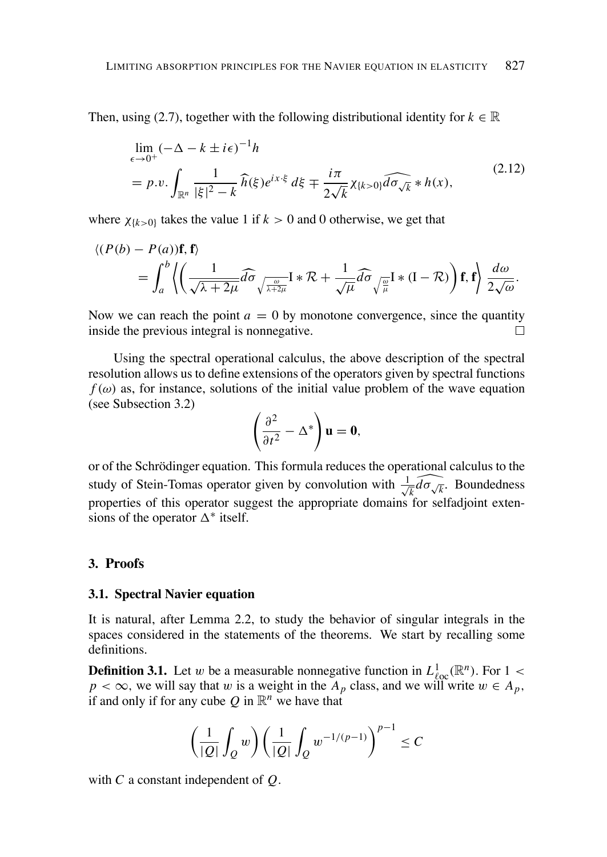Then, using (2.7), together with the following distributional identity for  $k \in \mathbb{R}$ 

$$
\lim_{\epsilon \to 0^+} (-\Delta - k \pm i\epsilon)^{-1} h
$$
\n
$$
= p.v. \int_{\mathbb{R}^n} \frac{1}{|\xi|^2 - k} \widehat{h}(\xi) e^{ix\cdot\xi} d\xi + \frac{i\pi}{2\sqrt{k}} \chi_{\{k>0\}} \widehat{d\sigma_{\sqrt{k}}} * h(x),
$$
\n(2.12)

where  $\chi_{\{k>0\}}$  takes the value 1 if  $k>0$  and 0 otherwise, we get that

$$
\langle (P(b) - P(a))\mathbf{f}, \mathbf{f} \rangle = \int_{a}^{b} \left\langle \left( \frac{1}{\sqrt{\lambda + 2\mu}} \widehat{d\sigma} \sqrt{\frac{\omega}{\lambda + 2\mu}} \mathbf{I} * \mathcal{R} + \frac{1}{\sqrt{\mu}} \widehat{d\sigma} \sqrt{\frac{\omega}{\mu}} \mathbf{I} * (\mathbf{I} - \mathcal{R}) \right) \mathbf{f}, \mathbf{f} \right\rangle \frac{d\omega}{2\sqrt{\omega}}.
$$

Now we can reach the point  $a = 0$  by monotone convergence, since the quantity inside the previous integral is nonnegative. П

Using the spectral operational calculus, the above description of the spectral resolution allows us to define extensions of the operators given by spectral functions  $f(\omega)$  as, for instance, solutions of the initial value problem of the wave equation (see Subsection 3.2)

$$
\left(\frac{\partial^2}{\partial t^2}-\Delta^*\right)\mathbf{u}=\mathbf{0},\
$$

or of the Schrödinger equation. This formula reduces the operational calculus to the study of Stein-Tomas operator given by convolution with  $\frac{1}{\sqrt{k}}\tilde{d}\sigma\sqrt{k}$ . Boundedness properties of this operator suggest the appropriate domains for selfadjoint extensions of the operator  $\Delta^*$  itself.

#### 3. Proofs

#### 3.1. Spectral Navier equation

It is natural, after Lemma 2.2, to study the behavior of singular integrals in the spaces considered in the statements of the theorems. We start by recalling some definitions.

**Definition 3.1.** Let w be a measurable nonnegative function in  $L_{loc}^{1}(\mathbb{R}^{n})$ . For 1 <  $p < \infty$ , we will say that w is a weight in the  $A_p$  class, and we will write  $w \in A_p$ , if and only if for any cube Q in  $\mathbb{R}^n$  we have that

$$
\left(\frac{1}{|Q|}\int_Q w\right)\left(\frac{1}{|Q|}\int_Q w^{-1/(p-1)}\right)^{p-1}\leq C
$$

with  $C$  a constant independent of  $Q$ .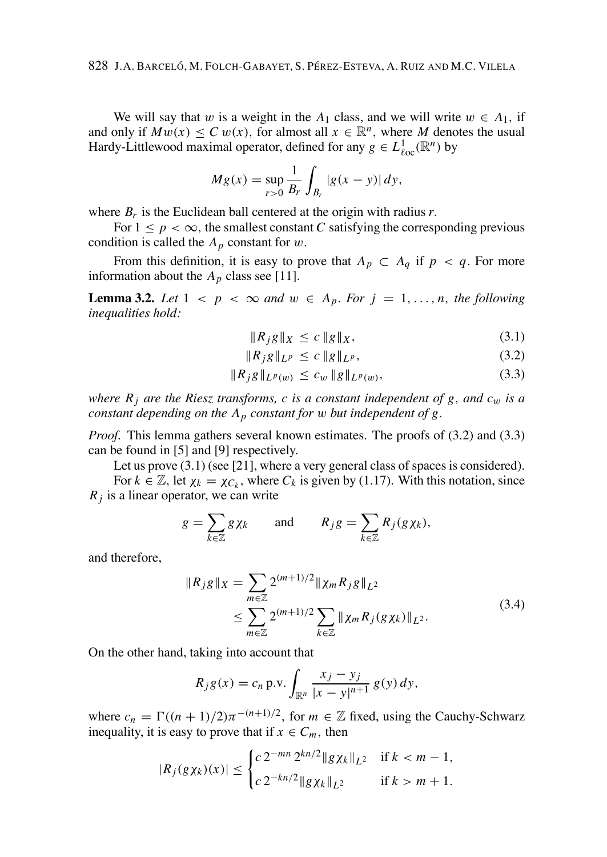We will say that w is a weight in the  $A_1$  class, and we will write  $w \in A_1$ , if and only if  $Mw(x) < C w(x)$ , for almost all  $x \in \mathbb{R}^n$ , where M denotes the usual Hardy-Littlewood maximal operator, defined for any  $g \in L^1_{loc}(\mathbb{R}^n)$  by

$$
Mg(x) = \sup_{r>0} \frac{1}{B_r} \int_{B_r} |g(x - y)| dy,
$$

where  $B_r$  is the Euclidean ball centered at the origin with radius r.

For  $1 \le p < \infty$ , the smallest constant C satisfying the corresponding previous condition is called the  $A_p$  constant for w.

From this definition, it is easy to prove that  $A_p \subset A_q$  if  $p < q$ . For more information about the  $A_p$  class see [11].

**Lemma 3.2.** Let  $1 < p < \infty$  and  $w \in A_p$ . For  $j = 1, ..., n$ , the following inequalities hold:

$$
\|R_j g\|_X \le c \|g\|_X,\tag{3.1}
$$

$$
||R_{j}g||_{L^{p}} \leq c ||g||_{L^{p}}, \qquad (3.2)
$$

$$
||R_{j}g||_{L^{p}(w)} \leq c_{w} ||g||_{L^{p}(w)}, \qquad (3.3)
$$

where  $R_i$  are the Riesz transforms, c is a constant independent of g, and  $c_w$  is a constant depending on the  $A_p$  constant for w but independent of g.

*Proof.* This lemma gathers several known estimates. The proofs of (3.2) and (3.3) can be found in [5] and [9] respectively.

Let us prove  $(3.1)$  (see [21], where a very general class of spaces is considered).

For  $k \in \mathbb{Z}$ , let  $\chi_k = \chi_{C_k}$ , where  $C_k$  is given by (1.17). With this notation, since  $R_i$  is a linear operator, we can write

$$
g = \sum_{k \in \mathbb{Z}} g \chi_k \quad \text{and} \quad R_j g = \sum_{k \in \mathbb{Z}} R_j (g \chi_k),
$$

and therefore,

$$
||R_{j}g||_{X} = \sum_{m \in \mathbb{Z}} 2^{(m+1)/2} ||\chi_{m} R_{j}g||_{L^{2}}
$$
  
\n
$$
\leq \sum_{m \in \mathbb{Z}} 2^{(m+1)/2} \sum_{k \in \mathbb{Z}} ||\chi_{m} R_{j} (g\chi_{k})||_{L^{2}}.
$$
\n(3.4)

On the other hand, taking into account that

$$
R_j g(x) = c_n \, \text{p.v.} \int_{\mathbb{R}^n} \frac{x_j - y_j}{|x - y|^{n+1}} \, g(y) \, dy,
$$

where  $c_n = \Gamma((n + 1)/2)\pi^{-(n+1)/2}$ , for  $m \in \mathbb{Z}$  fixed, using the Cauchy-Schwarz inequality, it is easy to prove that if  $x \in C_m$ , then

$$
|R_j(g\chi_k)(x)| \le \begin{cases} c \, 2^{-mn} \, 2^{kn/2} \|g\chi_k\|_{L^2} & \text{if } k < m-1, \\ c \, 2^{-kn/2} \|g\chi_k\|_{L^2} & \text{if } k > m+1. \end{cases}
$$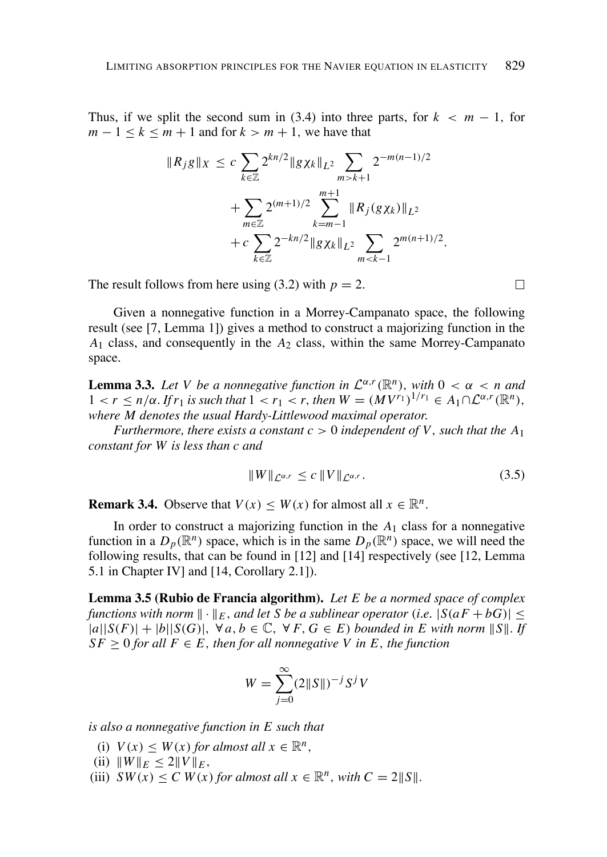Thus, if we split the second sum in (3.4) into three parts, for  $k < m - 1$ , for  $m-1 < k < m+1$  and for  $k > m+1$ , we have that

$$
||R_{j}g||_{X} \leq c \sum_{k \in \mathbb{Z}} 2^{kn/2} ||g \chi_{k}||_{L^{2}} \sum_{m > k+1} 2^{-m(n-1)/2}
$$
  
+ 
$$
\sum_{m \in \mathbb{Z}} 2^{(m+1)/2} \sum_{k=m-1}^{m+1} ||R_{j}(g \chi_{k})||_{L^{2}}
$$
  
+ 
$$
c \sum_{k \in \mathbb{Z}} 2^{-kn/2} ||g \chi_{k}||_{L^{2}} \sum_{m < k-1} 2^{m(n+1)/2}
$$

The result follows from here using (3.2) with  $p = 2$ .

Given a nonnegative function in a Morrey-Campanato space, the following result (see [7, Lemma 1]) gives a method to construct a majorizing function in the  $A_1$  class, and consequently in the  $A_2$  class, within the same Morrey-Campanato space.

**Lemma 3.3.** Let V be a nonnegative function in  $\mathcal{L}^{\alpha,r}(\mathbb{R}^n)$ , with  $0 < \alpha < n$  and  $1 < r \le n/\alpha$ . If  $r_1$  is such that  $1 < r_1 < r$ , then  $W = (MV^{r_1})^{1/r_1} \in A_1 \cap \mathcal{L}^{\alpha,r}(\mathbb{R}^n)$ , where M denotes the usual Hardy-Littlewood maximal operator.

Furthermore, there exists a constant  $c > 0$  independent of V, such that the  $A_1$ constant for W is less than c and

$$
||W||_{\mathcal{L}^{\alpha,r}} \leq c ||V||_{\mathcal{L}^{\alpha,r}}.\tag{3.5}
$$

**Remark 3.4.** Observe that  $V(x) \leq W(x)$  for almost all  $x \in \mathbb{R}^n$ .

In order to construct a majorizing function in the  $A_1$  class for a nonnegative function in a  $D_p(\mathbb{R}^n)$  space, which is in the same  $D_p(\mathbb{R}^n)$  space, we will need the following results, that can be found in [12] and [14] respectively (see [12, Lemma 5.1 in Chapter IV] and [14, Corollary 2.1]).

Lemma 3.5 (Rubio de Francia algorithm). Let E be a normed space of complex functions with norm  $\|\cdot\|_E$ , and let S be a sublinear operator (i.e.  $|S(aF + bG)| \le$  $|a||S(F)|+|b||S(G)|$ ,  $\forall a, b \in \mathbb{C}, \forall F, G \in E$  bounded in E with norm  $||S||$ . If  $SF > 0$  for all  $F \in E$ , then for all nonnegative V in E, the function

$$
W = \sum_{j=0}^{\infty} (2||S||)^{-j} S^j V
$$

is also a nonnegative function in  $E$  such that

- (i)  $V(x) \leq W(x)$  for almost all  $x \in \mathbb{R}^n$ ,
- (ii)  $||W||_E \leq 2||V||_E$ ,
- (iii)  $SW(x) \leq C W(x)$  for almost all  $x \in \mathbb{R}^n$ , with  $C = 2||S||$ .

 $\Box$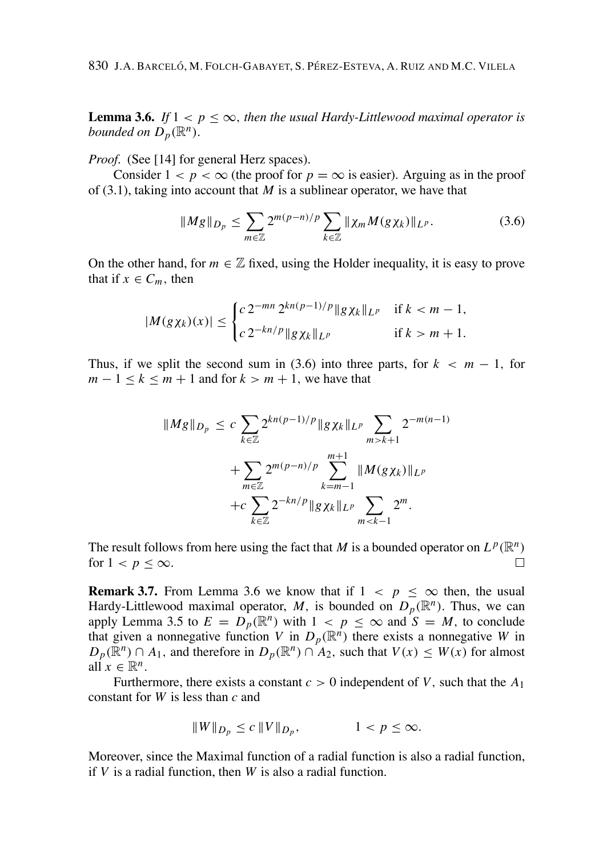**Lemma 3.6.** If  $1 < p < \infty$ , then the usual Hardy-Littlewood maximal operator is bounded on  $D_n(\mathbb{R}^n)$ .

*Proof.* (See [14] for general Herz spaces).

Consider  $1 < p < \infty$  (the proof for  $p = \infty$  is easier). Arguing as in the proof of  $(3.1)$ , taking into account that M is a sublinear operator, we have that

$$
\|Mg\|_{D_p} \le \sum_{m\in\mathbb{Z}} 2^{m(p-n)/p} \sum_{k\in\mathbb{Z}} \|\chi_m M(g\chi_k)\|_{L^p}.
$$
 (3.6)

On the other hand, for  $m \in \mathbb{Z}$  fixed, using the Holder inequality, it is easy to prove that if  $x \in C_m$ , then

$$
|M(g\chi_k)(x)| \leq \begin{cases} c \, 2^{-mn} \, 2^{kn(p-1)/p} \|g\chi_k\|_{L^p} & \text{if } k < m-1, \\ c \, 2^{-kn/p} \|g\chi_k\|_{L^p} & \text{if } k > m+1. \end{cases}
$$

Thus, if we split the second sum in (3.6) into three parts, for  $k < m - 1$ , for  $m-1 < k < m+1$  and for  $k > m+1$ , we have that

$$
\|Mg\|_{D_p} \leq c \sum_{k \in \mathbb{Z}} 2^{kn(p-1)/p} \|gx_k\|_{L^p} \sum_{m > k+1} 2^{-m(n-1)} + \sum_{m \in \mathbb{Z}} 2^{m(p-n)/p} \sum_{k=m-1}^{m+1} \|M(g\chi_k)\|_{L^p} + c \sum_{k \in \mathbb{Z}} 2^{-kn/p} \|gx_k\|_{L^p} \sum_{m < k-1} 2^m.
$$

The result follows from here using the fact that M is a bounded operator on  $L^p(\mathbb{R}^n)$ for  $1 < p \leq \infty$ .  $\Box$ 

**Remark 3.7.** From Lemma 3.6 we know that if  $1 < p \le \infty$  then, the usual Hardy-Littlewood maximal operator, M, is bounded on  $D_n(\mathbb{R}^n)$ . Thus, we can apply Lemma 3.5 to  $E = D_p(\mathbb{R}^n)$  with  $1 < p \le \infty$  and  $S = M$ , to conclude that given a nonnegative function V in  $D_p(\mathbb{R}^n)$  there exists a nonnegative W in  $D_p(\mathbb{R}^n) \cap A_1$ , and therefore in  $D_p(\mathbb{R}^n) \cap A_2$ , such that  $V(x) \leq W(x)$  for almost all  $x \in \mathbb{R}^n$ .

Furthermore, there exists a constant  $c > 0$  independent of V, such that the  $A_1$ constant for  $W$  is less than  $c$  and

$$
||W||_{D_p} \le c ||V||_{D_p}, \qquad \qquad 1 < p \le \infty.
$$

Moreover, since the Maximal function of a radial function is also a radial function. if  $V$  is a radial function, then  $W$  is also a radial function.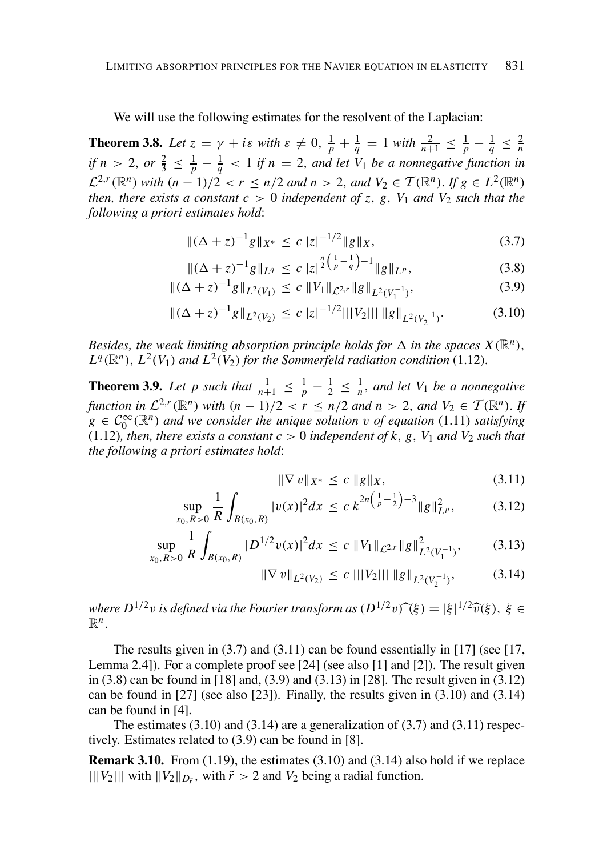We will use the following estimates for the resolvent of the Laplacian:

**Theorem 3.8.** Let  $z = \gamma + i\varepsilon$  with  $\varepsilon \neq 0$ ,  $\frac{1}{p} + \frac{1}{q} = 1$  with  $\frac{2}{n+1} \leq \frac{1}{p} - \frac{1}{q} \leq \frac{2}{n}$ if  $n > 2$ , or  $\frac{2}{3} \leq \frac{1}{p} - \frac{1}{q} < 1$  if  $n = 2$ , and let  $V_1$  be a nonnegative function in  $\mathcal{L}^{2,r}(\mathbb{R}^n)$  with  $(n-1)/2 < r \leq n/2$  and  $n > 2$ , and  $V_2 \in \mathcal{T}(\mathbb{R}^n)$ . If  $g \in L^2(\mathbb{R}^n)$ then, there exists a constant  $c > 0$  independent of z, g, V<sub>1</sub> and V<sub>2</sub> such that the following a priori estimates hold:

$$
\|(\Delta + z)^{-1}g\|_{X^*} \le c\|z|^{-1/2}\|g\|_X,\tag{3.7}
$$

$$
\|(\Delta + z)^{-1}g\|_{L^{q}} \leq c\|z\|^{\frac{q}{2}\left(\frac{1}{p} - \frac{1}{q}\right) - 1}\|g\|_{L^{p}},\tag{3.8}
$$

$$
\|(\Delta + z)^{-1}g\|_{L^2(V_1)} \le c \|V_1\|_{\mathcal{L}^{2,r}} \|g\|_{L^2(V_1^{-1})},
$$
\n(3.9)

$$
\|(\Delta + z)^{-1}g\|_{L^2(V_2)} \le c\|z|^{-1/2}|||V_2|||\|g\|_{L^2(V_2^{-1})}.\tag{3.10}
$$

Besides, the weak limiting absorption principle holds for  $\Delta$  in the spaces  $X(\mathbb{R}^n)$ ,  $L^q(\mathbb{R}^n)$ .  $L^2(V_1)$  and  $L^2(V_2)$  for the Sommerfeld radiation condition (1.12).

**Theorem 3.9.** Let p such that  $\frac{1}{n+1} \leq \frac{1}{p} - \frac{1}{2} \leq \frac{1}{n}$ , and let  $V_1$  be a nonnegative function in  $\mathcal{L}^{2,r}(\mathbb{R}^n)$  with  $(n-1)/2 < r \le n/2$  and  $n > 2$ , and  $V_2 \in \mathcal{T}(\mathbb{R}^n)$ . If  $g \in C_0^{\infty}(\mathbb{R}^n)$  and we consider the unique solution v of equation (1.11) satisfying (1.12), then, there exists a constant  $c > 0$  independent of k, g, V<sub>1</sub> and V<sub>2</sub> such that the following a priori estimates hold:

$$
\|\nabla v\|_{X^*} \le c \|g\|_X,\tag{3.11}
$$

$$
\sup_{x_0, R>0} \frac{1}{R} \int_{B(x_0, R)} |v(x)|^2 dx \le c \, k^{2n \left(\frac{1}{p} - \frac{1}{2}\right) - 3} \|g\|_{L^p}^2,\tag{3.12}
$$

$$
\sup_{x_0, R>0} \frac{1}{R} \int_{B(x_0, R)} |D^{1/2} v(x)|^2 dx \le c \|V_1\|_{\mathcal{L}^{2,r}} \|g\|_{L^2(V_1^{-1})}^2, \tag{3.13}
$$

$$
|\nabla v||_{L^{2}(V_{2})} \leq c \, |||V_{2}||| \, ||g||_{L^{2}(V_{2}^{-1})}, \qquad (3.14)
$$

where  $D^{1/2}v$  is defined via the Fourier transform as  $(D^{1/2}v)\hat{ }(\xi)=|\xi|^{1/2}\hat{v}(\xi),\ \xi\in$  $\mathbb{R}^n$ .

The results given in  $(3.7)$  and  $(3.11)$  can be found essentially in [17] (see [17, Lemma 2.4]). For a complete proof see [24] (see also [1] and [2]). The result given in  $(3.8)$  can be found in  $[18]$  and,  $(3.9)$  and  $(3.13)$  in  $[28]$ . The result given in  $(3.12)$ can be found in  $[27]$  (see also  $[23]$ ). Finally, the results given in  $(3.10)$  and  $(3.14)$ can be found in  $[4]$ .

The estimates  $(3.10)$  and  $(3.14)$  are a generalization of  $(3.7)$  and  $(3.11)$  respectively. Estimates related to  $(3.9)$  can be found in [8].

**Remark 3.10.** From  $(1.19)$ , the estimates  $(3.10)$  and  $(3.14)$  also hold if we replace  $|||V_2|||$  with  $||V_2||_{D_{\tilde{r}}}$ , with  $\tilde{r} > 2$  and  $V_2$  being a radial function.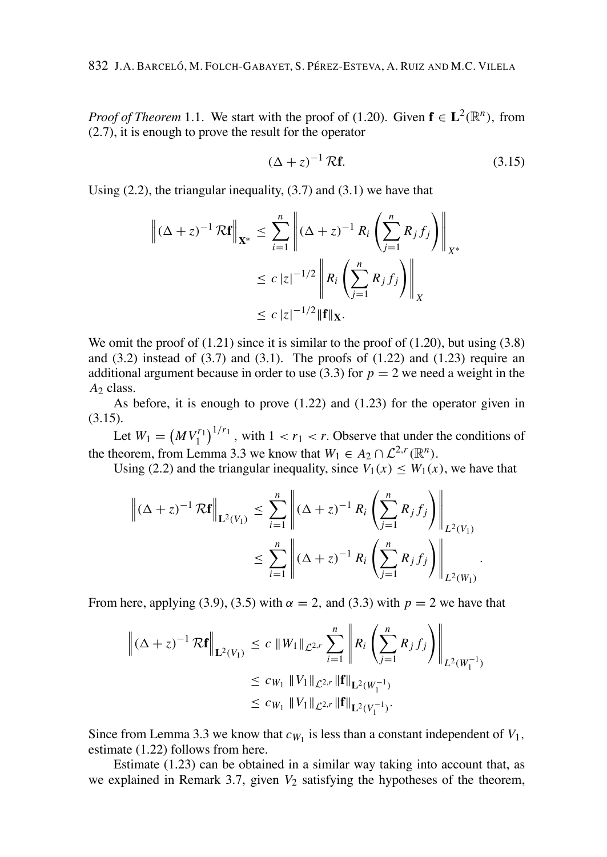*Proof of Theorem* 1.1. We start with the proof of (1.20). Given  $f \in L^2(\mathbb{R}^n)$ , from  $(2.7)$ , it is enough to prove the result for the operator

$$
\left(\Delta + z\right)^{-1} \mathcal{R} \mathbf{f}.\tag{3.15}
$$

Using  $(2.2)$ , the triangular inequality,  $(3.7)$  and  $(3.1)$  we have that

$$
\left\| (\Delta + z)^{-1} \mathcal{R} \mathbf{f} \right\|_{\mathbf{X}^*} \leq \sum_{i=1}^n \left\| (\Delta + z)^{-1} R_i \left( \sum_{j=1}^n R_j f_j \right) \right\|_{X^*}
$$
  

$$
\leq c |z|^{-1/2} \left\| R_i \left( \sum_{j=1}^n R_j f_j \right) \right\|_X
$$
  

$$
\leq c |z|^{-1/2} \|\mathbf{f}\|_{\mathbf{X}}.
$$

We omit the proof of  $(1.21)$  since it is similar to the proof of  $(1.20)$ , but using  $(3.8)$ and  $(3.2)$  instead of  $(3.7)$  and  $(3.1)$ . The proofs of  $(1.22)$  and  $(1.23)$  require an additional argument because in order to use (3.3) for  $p = 2$  we need a weight in the  $A<sub>2</sub>$  class.

As before, it is enough to prove  $(1.22)$  and  $(1.23)$  for the operator given in  $(3.15).$ 

Let  $W_1 = (MV_1^{r_1})^{1/r_1}$ , with  $1 < r_1 < r$ . Observe that under the conditions of the theorem, from Lemma 3.3 we know that  $W_1 \in A_2 \cap \mathcal{L}^{2,r}(\mathbb{R}^n)$ .

Using (2.2) and the triangular inequality, since  $V_1(x) \leq W_1(x)$ , we have that

$$
\left\| (\Delta + z)^{-1} \mathcal{R} \mathbf{f} \right\|_{\mathbf{L}^{2}(V_{1})} \leq \sum_{i=1}^{n} \left\| (\Delta + z)^{-1} R_{i} \left( \sum_{j=1}^{n} R_{j} f_{j} \right) \right\|_{L^{2}(V_{1})}
$$
  

$$
\leq \sum_{i=1}^{n} \left\| (\Delta + z)^{-1} R_{i} \left( \sum_{j=1}^{n} R_{j} f_{j} \right) \right\|_{L^{2}(W_{1})}
$$

From here, applying (3.9), (3.5) with  $\alpha = 2$ , and (3.3) with  $p = 2$  we have that

$$
\left\| (\Delta + z)^{-1} \mathcal{R} \mathbf{f} \right\|_{\mathbf{L}^{2}(V_{1})} \leq c \, \|W_{1}\|_{\mathcal{L}^{2,r}} \sum_{i=1}^{n} \left\| R_{i} \left( \sum_{j=1}^{n} R_{j} f_{j} \right) \right\|_{L^{2}(W_{1}^{-1})}
$$
  

$$
\leq c_{W_{1}} \|V_{1}\|_{\mathcal{L}^{2,r}} \|\mathbf{f}\|_{\mathbf{L}^{2}(W_{1}^{-1})}
$$
  

$$
\leq c_{W_{1}} \|V_{1}\|_{\mathcal{L}^{2,r}} \|\mathbf{f}\|_{\mathbf{L}^{2}(V_{1}^{-1})}.
$$

Since from Lemma 3.3 we know that  $c_{W_1}$  is less than a constant independent of  $V_1$ , estimate (1.22) follows from here.

Estimate  $(1.23)$  can be obtained in a similar way taking into account that, as we explained in Remark 3.7, given  $V_2$  satisfying the hypotheses of the theorem,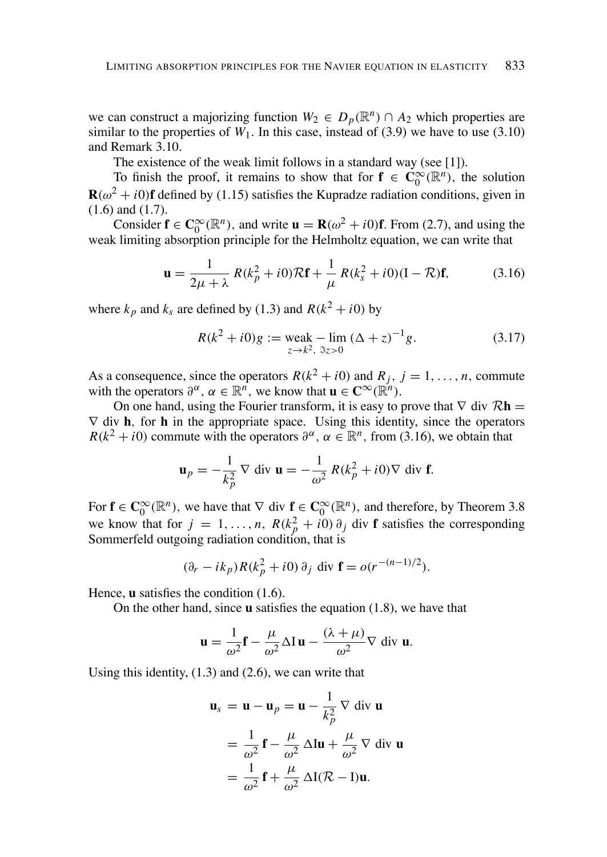we can construct a majorizing function  $W_2 \in D_p(\mathbb{R}^n) \cap A_2$  which properties are similar to the properties of  $W_1$ . In this case, instead of (3.9) we have to use (3.10) and Remark 3.10.

The existence of the weak limit follows in a standard way (see  $[1]$ ).

To finish the proof, it remains to show that for  $f \in C_0^{\infty}(\mathbb{R}^n)$ , the solution  $\mathbf{R}(\omega^2 + i0)\mathbf{f}$  defined by (1.15) satisfies the Kupradze radiation conditions, given in  $(1.6)$  and  $(1.7)$ .

Consider  $f \in C_0^{\infty}(\mathbb{R}^n)$ , and write  $u = R(\omega^2 + i0)f$ . From (2.7), and using the weak limiting absorption principle for the Helmholtz equation, we can write that

$$
\mathbf{u} = \frac{1}{2\mu + \lambda} R(k_p^2 + i0)\mathcal{R}\mathbf{f} + \frac{1}{\mu} R(k_s^2 + i0)(\mathbf{I} - \mathcal{R})\mathbf{f},\tag{3.16}
$$

where  $k_p$  and  $k_s$  are defined by (1.3) and  $R(k^2 + i0)$  by

$$
R(k^{2} + i0)g := \text{weak} - \lim_{z \to k^{2}, \ \Im z > 0} (\Delta + z)^{-1}g.
$$
 (3.17)

As a consequence, since the operators  $R(k^2 + i0)$  and  $R_j$ ,  $j = 1, ..., n$ , commute with the operators  $\partial^{\alpha}$ ,  $\alpha \in \mathbb{R}^{n}$ , we know that  $\mathbf{u} \in \mathbb{C}^{\infty}(\mathbb{R}^{n})$ .

On one hand, using the Fourier transform, it is easy to prove that  $\nabla$  div  $\mathcal{R}$ **h** =  $\nabla$  div **h**, for **h** in the appropriate space. Using this identity, since the operators  $R(k^2 + i0)$  commute with the operators  $\partial^{\alpha}$ ,  $\alpha \in \mathbb{R}^n$ , from (3.16), we obtain that

$$
\mathbf{u}_p = -\frac{1}{k_p^2} \nabla \text{ div } \mathbf{u} = -\frac{1}{\omega^2} R(k_p^2 + i0) \nabla \text{ div } \mathbf{f}.
$$

For  $f \in C_0^{\infty}(\mathbb{R}^n)$ , we have that  $\nabla$  div  $f \in C_0^{\infty}(\mathbb{R}^n)$ , and therefore, by Theorem 3.8 we know that for  $j = 1, ..., n$ ,  $R(k_p^2 + i0) \partial_j$  div **f** satisfies the corresponding Sommerfeld outgoing radiation condition, that is

$$
(\partial_r - ik_p)R(k_p^2 + i0) \partial_j \text{ div } \mathbf{f} = o(r^{-(n-1)/2}).
$$

Hence,  $\bf{u}$  satisfies the condition (1.6).

On the other hand, since  $\bf{u}$  satisfies the equation (1.8), we have that

$$
\mathbf{u} = \frac{1}{\omega^2} \mathbf{f} - \frac{\mu}{\omega^2} \Delta I \mathbf{u} - \frac{(\lambda + \mu)}{\omega^2} \nabla \text{ div } \mathbf{u}.
$$

Using this identity,  $(1.3)$  and  $(2.6)$ , we can write that

$$
\mathbf{u}_s = \mathbf{u} - \mathbf{u}_p = \mathbf{u} - \frac{1}{k_p^2} \nabla \text{ div } \mathbf{u}
$$
  
=  $\frac{1}{\omega^2} \mathbf{f} - \frac{\mu}{\omega^2} \Delta \mathbf{I} \mathbf{u} + \frac{\mu}{\omega^2} \nabla \text{ div } \mathbf{u}$   
=  $\frac{1}{\omega^2} \mathbf{f} + \frac{\mu}{\omega^2} \Delta \mathbf{I} (\mathcal{R} - \mathbf{I}) \mathbf{u}.$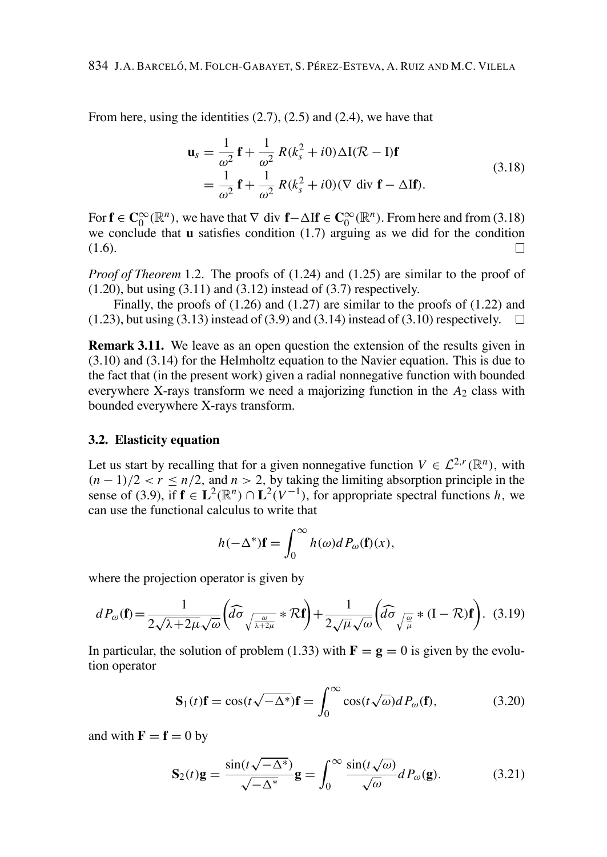From here, using the identities  $(2.7)$ ,  $(2.5)$  and  $(2.4)$ , we have that

$$
\mathbf{u}_s = \frac{1}{\omega^2} \mathbf{f} + \frac{1}{\omega^2} R(k_s^2 + i0) \Delta I (\mathcal{R} - I) \mathbf{f}
$$
  
= 
$$
\frac{1}{\omega^2} \mathbf{f} + \frac{1}{\omega^2} R(k_s^2 + i0) (\nabla \operatorname{div} \mathbf{f} - \Delta I \mathbf{f}).
$$
 (3.18)

For  $f \in C_0^{\infty}(\mathbb{R}^n)$ , we have that  $\nabla$  div  $f - \Delta If \in C_0^{\infty}(\mathbb{R}^n)$ . From here and from (3.18) we conclude that  $\bf{u}$  satisfies condition (1.7) arguing as we did for the condition  $(1.6).$ П

*Proof of Theorem* 1.2. The proofs of  $(1.24)$  and  $(1.25)$  are similar to the proof of  $(1.20)$ , but using  $(3.11)$  and  $(3.12)$  instead of  $(3.7)$  respectively.

Finally, the proofs of  $(1.26)$  and  $(1.27)$  are similar to the proofs of  $(1.22)$  and  $(1.23)$ , but using  $(3.13)$  instead of  $(3.9)$  and  $(3.14)$  instead of  $(3.10)$  respectively.  $\Box$ 

**Remark 3.11.** We leave as an open question the extension of the results given in  $(3.10)$  and  $(3.14)$  for the Helmholtz equation to the Navier equation. This is due to the fact that (in the present work) given a radial nonnegative function with bounded everywhere X-rays transform we need a majorizing function in the  $A_2$  class with bounded everywhere X-rays transform.

#### 3.2. Elasticity equation

Let us start by recalling that for a given nonnegative function  $V \in \mathcal{L}^{2,r}(\mathbb{R}^n)$ , with  $(n-1)/2 < r \leq n/2$ , and  $n > 2$ , by taking the limiting absorption principle in the sense of (3.9), if  $f \in L^2(\mathbb{R}^n) \cap L^2(V^{-1})$ , for appropriate spectral functions h, we can use the functional calculus to write that

$$
h(-\Delta^*)\mathbf{f} = \int_0^\infty h(\omega)dP_\omega(\mathbf{f})(x),
$$

where the projection operator is given by

$$
dP_{\omega}(\mathbf{f}) = \frac{1}{2\sqrt{\lambda + 2\mu}\sqrt{\omega}} \left( \widehat{d\sigma} \sqrt{\frac{\omega}{\lambda + 2\mu}} * \mathcal{R}\mathbf{f} \right) + \frac{1}{2\sqrt{\mu}\sqrt{\omega}} \left( \widehat{d\sigma} \sqrt{\frac{\omega}{\mu}} * (\mathbf{I} - \mathcal{R})\mathbf{f} \right). \tag{3.19}
$$

In particular, the solution of problem (1.33) with  $\mathbf{F} = \mathbf{g} = 0$  is given by the evolution operator

$$
\mathbf{S}_1(t)\mathbf{f} = \cos(t\sqrt{-\Delta^*})\mathbf{f} = \int_0^\infty \cos(t\sqrt{\omega})dP_\omega(\mathbf{f}),\tag{3.20}
$$

and with  $\mathbf{F} = \mathbf{f} = 0$  by

$$
\mathbf{S}_2(t)\mathbf{g} = \frac{\sin(t\sqrt{-\Delta^*})}{\sqrt{-\Delta^*}}\mathbf{g} = \int_0^\infty \frac{\sin(t\sqrt{\omega})}{\sqrt{\omega}}dP_\omega(\mathbf{g}).\tag{3.21}
$$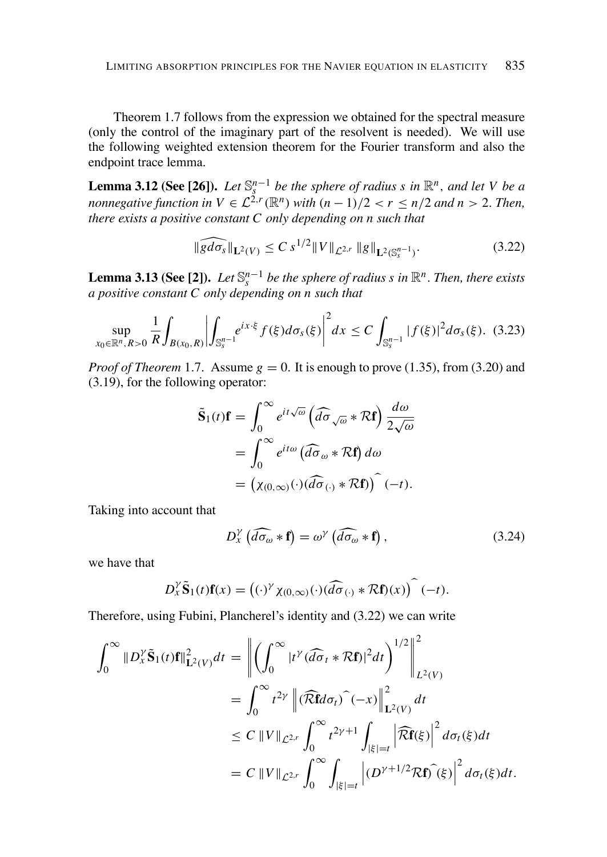Theorem 1.7 follows from the expression we obtained for the spectral measure (only the control of the imaginary part of the resolvent is needed). We will use the following weighted extension theorem for the Fourier transform and also the endpoint trace lemma.

**Lemma 3.12 (See [26]).** Let  $\mathbb{S}_{s}^{n-1}$  be the sphere of radius s in  $\mathbb{R}^{n}$ , and let V be a nonnegative function in  $V \in \mathcal{L}^{2,r}(\mathbb{R}^{n})$  with  $(n-1)/2 < r \le n/2$  and  $n > 2$ . Then, there exists a positive constant  $C$  only depending on  $n$  such that

$$
\|\widehat{gd\sigma_s}\|_{\mathbf{L}^2(V)} \le C s^{1/2} \|V\|_{\mathcal{L}^{2,r}} \|g\|_{\mathbf{L}^2(\mathbb{S}_s^{n-1})}. \tag{3.22}
$$

**Lemma 3.13 (See [2]).** Let  $\mathbb{S}^{n-1}$  be the sphere of radius s in  $\mathbb{R}^n$ . Then, there exists a positive constant  $C$  only depending on  $n$  such that

$$
\sup_{x_0 \in \mathbb{R}^n, R>0} \frac{1}{R} \int_{B(x_0, R)} \left| \int_{\mathbb{S}_s^{n-1}} e^{ix \cdot \xi} f(\xi) d\sigma_s(\xi) \right|^2 dx \le C \int_{\mathbb{S}_s^{n-1}} |f(\xi)|^2 d\sigma_s(\xi). \tag{3.23}
$$

*Proof of Theorem* 1.7. Assume  $g = 0$ . It is enough to prove (1.35), from (3.20) and  $(3.19)$ , for the following operator:

$$
\tilde{\mathbf{S}}_1(t)\mathbf{f} = \int_0^\infty e^{it\sqrt{\omega}} \left( \widehat{d\sigma}_{\sqrt{\omega}} * \mathcal{R}\mathbf{f} \right) \frac{d\omega}{2\sqrt{\omega}}
$$

$$
= \int_0^\infty e^{it\omega} \left( \widehat{d\sigma}_{\omega} * \mathcal{R}\mathbf{f} \right) d\omega
$$

$$
= \left( \chi_{(0,\infty)}(\cdot) \left( \widehat{d\sigma}_{(\cdot)} * \mathcal{R}\mathbf{f} \right) \right) (-t).
$$

Taking into account that

$$
D_{x}^{\gamma} \left( \widehat{d\sigma_{\omega}} * \mathbf{f} \right) = \omega^{\gamma} \left( \widehat{d\sigma_{\omega}} * \mathbf{f} \right), \tag{3.24}
$$

we have that

$$
D_x^{\gamma} \tilde{\mathbf{S}}_1(t) \mathbf{f}(x) = ((\cdot)^{\gamma} \chi_{(0,\infty)}(\cdot) (\widehat{d\sigma}_{(\cdot)} * \mathcal{R} \mathbf{f})(x)) \widehat{(-t)}
$$

Therefore, using Fubini, Plancherel's identity and (3.22) we can write

$$
\int_0^\infty \|D_x^{\gamma}\tilde{\mathbf{S}}_1(t)\mathbf{f}\|_{\mathbf{L}^2(V)}^2 dt = \left\| \left( \int_0^\infty |t^{\gamma} (\widehat{d\sigma}_t * \mathcal{R}\mathbf{f})|^2 dt \right)^{1/2} \right\|_{L^2(V)}^2
$$
  
\n
$$
= \int_0^\infty t^{2\gamma} \left\| (\widehat{\mathcal{R}}\mathbf{f} d\sigma_t) \widehat{\mathbf{C}}(-x) \right\|_{\mathbf{L}^2(V)}^2 dt
$$
  
\n
$$
\leq C \left\| V \right\|_{\mathcal{L}^{2,r}} \int_0^\infty t^{2\gamma+1} \int_{|\xi|=t} \left| \widehat{\mathcal{R}}\mathbf{f}(\xi) \right|^2 d\sigma_t(\xi) dt
$$
  
\n
$$
= C \left\| V \right\|_{\mathcal{L}^{2,r}} \int_0^\infty \int_{|\xi|=t} \left| (D^{\gamma+1/2} \mathcal{R}\mathbf{f}) \widehat{\mathbf{C}}(\xi) \right|^2 d\sigma_t(\xi) dt.
$$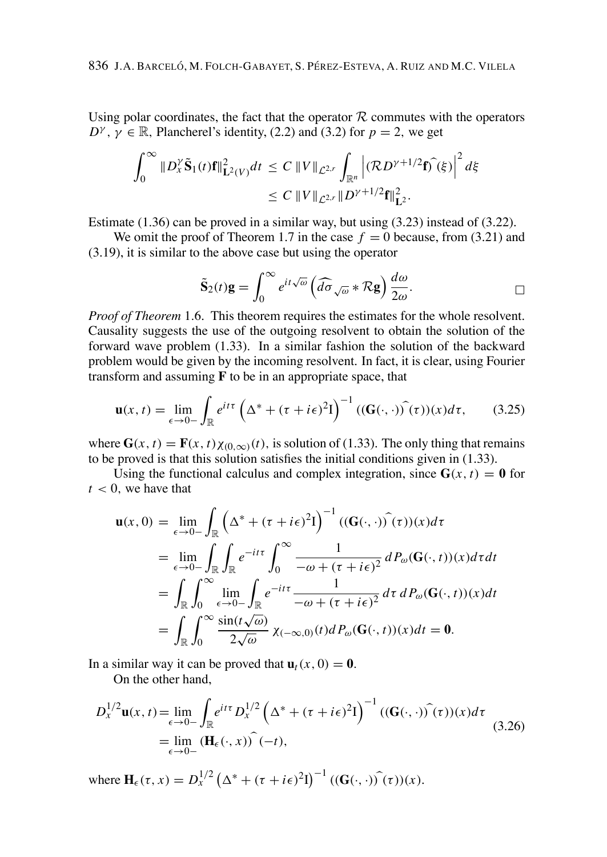Using polar coordinates, the fact that the operator  $R$  commutes with the operators  $D^{\gamma}$ ,  $\gamma \in \mathbb{R}$ , Plancherel's identity, (2.2) and (3.2) for  $p = 2$ , we get

$$
\int_0^\infty \|D_x^{\gamma} \tilde{\mathbf{S}}_1(t)\mathbf{f}\|_{\mathbf{L}^2(V)}^2 dt \le C \|V\|_{\mathcal{L}^{2,r}} \int_{\mathbb{R}^n} \left| (\mathcal{R} D^{\gamma+1/2} \mathbf{f})^{\widehat{}}(\xi) \right|^2 d\xi
$$
  
 
$$
\le C \|V\|_{\mathcal{L}^{2,r}} \|D^{\gamma+1/2} \mathbf{f}\|_{\mathbf{L}^2}^2.
$$

Estimate  $(1.36)$  can be proved in a similar way, but using  $(3.23)$  instead of  $(3.22)$ .

We omit the proof of Theorem 1.7 in the case  $f = 0$  because, from (3.21) and  $(3.19)$ , it is similar to the above case but using the operator

$$
\tilde{\mathbf{S}}_2(t)\mathbf{g} = \int_0^\infty e^{it\sqrt{\omega}} \left( d\widehat{\sigma}_{\sqrt{\omega}} * \mathcal{R}\mathbf{g} \right) \frac{d\omega}{2\omega}.
$$

*Proof of Theorem* 1.6. This theorem requires the estimates for the whole resolvent. Causality suggests the use of the outgoing resolvent to obtain the solution of the forward wave problem (1.33). In a similar fashion the solution of the backward problem would be given by the incoming resolvent. In fact, it is clear, using Fourier transform and assuming  $F$  to be in an appropriate space, that

$$
\mathbf{u}(x,t) = \lim_{\epsilon \to 0-} \int_{\mathbb{R}} e^{it\tau} \left( \Delta^* + (\tau + i\epsilon)^2 I \right)^{-1} \left( (\mathbf{G}(\cdot,\cdot)) \hat{\mathbf{u}}(x) \right) d\tau, \tag{3.25}
$$

where  $G(x, t) = F(x, t) \chi_{(0, \infty)}(t)$ , is solution of (1.33). The only thing that remains to be proved is that this solution satisfies the initial conditions given in  $(1.33)$ .

Using the functional calculus and complex integration, since  $G(x, t) = 0$  for  $t < 0$ , we have that

$$
\mathbf{u}(x,0) = \lim_{\epsilon \to 0^-} \int_{\mathbb{R}} \left( \Delta^* + (\tau + i\epsilon)^2 I \right)^{-1} ((\mathbf{G}(\cdot,\cdot)) \widehat{)}(\tau)) (x) d\tau
$$
  
\n
$$
= \lim_{\epsilon \to 0^-} \int_{\mathbb{R}} \int_{\mathbb{R}} e^{-it\tau} \int_0^\infty \frac{1}{-\omega + (\tau + i\epsilon)^2} dP_\omega(\mathbf{G}(\cdot,t)) (x) d\tau dt
$$
  
\n
$$
= \int_{\mathbb{R}} \int_0^\infty \lim_{\epsilon \to 0^-} \int_{\mathbb{R}} e^{-it\tau} \frac{1}{-\omega + (\tau + i\epsilon)^2} d\tau dP_\omega(\mathbf{G}(\cdot,t)) (x) dt
$$
  
\n
$$
= \int_{\mathbb{R}} \int_0^\infty \frac{\sin(t\sqrt{\omega})}{2\sqrt{\omega}} \chi_{(-\infty,0)}(t) dP_\omega(\mathbf{G}(\cdot,t)) (x) dt = \mathbf{0}.
$$

In a similar way it can be proved that  $\mathbf{u}_t(x, 0) = \mathbf{0}$ .

On the other hand.

$$
D_x^{1/2} \mathbf{u}(x, t) = \lim_{\epsilon \to 0^-} \int_{\mathbb{R}} e^{it\tau} D_x^{1/2} \left( \Delta^* + (\tau + i\epsilon)^2 I \right)^{-1} ((\mathbf{G}(\cdot, \cdot)) \hat{ } (\tau)) (x) d\tau
$$
  
= 
$$
\lim_{\epsilon \to 0^-} (\mathbf{H}_{\epsilon}(\cdot, x)) \hat{ } (-t),
$$
 (3.26)

where  $\mathbf{H}_{\epsilon}(\tau, x) = D_{x}^{1/2} (\Delta^* + (\tau + i\epsilon)^2 I)^{-1} ((\mathbf{G}(\cdot, \cdot))\hat{\tau}(\tau))(x).$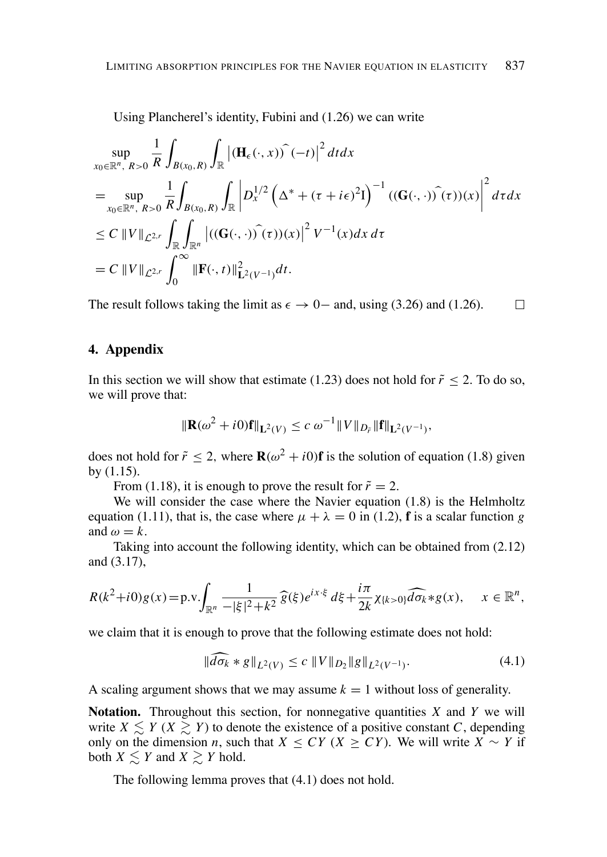Using Plancherel's identity. Fubini and (1.26) we can write

$$
\sup_{x_0 \in \mathbb{R}^n, R>0} \frac{1}{R} \int_{B(x_0, R)} \int_{\mathbb{R}} \left| (\mathbf{H}_{\epsilon}(\cdot, x)) \right|^{2} dt dx
$$
\n  
\n
$$
= \sup_{x_0 \in \mathbb{R}^n, R>0} \frac{1}{R} \int_{B(x_0, R)} \int_{\mathbb{R}} \left| D_{x}^{1/2} \left( \Delta^{*} + (\tau + i\epsilon)^{2} I \right)^{-1} \left( (\mathbf{G}(\cdot, \cdot)) \right) (\tau) \right|^{2} d\tau dx
$$
\n  
\n
$$
\leq C \left\| V \right\|_{\mathcal{L}^{2,r}} \int_{\mathbb{R}} \int_{\mathbb{R}^n} \left| \left( (\mathbf{G}(\cdot, \cdot)) \right) (\tau) \right|^{2} V^{-1}(x) dx d\tau
$$
\n  
\n
$$
= C \left\| V \right\|_{\mathcal{L}^{2,r}} \int_{0}^{\infty} \left\| \mathbf{F}(\cdot, t) \right\|_{\mathbf{L}^{2}(V^{-1})}^{2} dt.
$$

The result follows taking the limit as  $\epsilon \to 0$  – and, using (3.26) and (1.26).  $\Box$ 

## 4. Appendix

In this section we will show that estimate (1.23) does not hold for  $\tilde{r}$  < 2. To do so, we will prove that:

$$
\|\mathbf{R}(\omega^2 + i0)\mathbf{f}\|_{\mathbf{L}^2(V)} \le c \omega^{-1} \|V\|_{D_r^*} \|\mathbf{f}\|_{\mathbf{L}^2(V^{-1})},
$$

does not hold for  $\tilde{r} < 2$ , where  $\mathbf{R}(\omega^2 + i0)\mathbf{f}$  is the solution of equation (1.8) given by  $(1.15)$ .

From (1.18), it is enough to prove the result for  $\tilde{r} = 2$ .

We will consider the case where the Navier equation  $(1.8)$  is the Helmholtz equation (1.11), that is, the case where  $\mu + \lambda = 0$  in (1.2), **f** is a scalar function g and  $\omega = k$ .

Taking into account the following identity, which can be obtained from (2.12) and  $(3.17)$ ,

$$
R(k^2+i0)g(x) = p.v.\int_{\mathbb{R}^n} \frac{1}{-|\xi|^2 + k^2} \widehat{g}(\xi) e^{ix\cdot\xi} d\xi + \frac{i\pi}{2k} \chi_{\{k>0\}} \widehat{d\sigma_k} * g(x), \quad x \in \mathbb{R}^n,
$$

we claim that it is enough to prove that the following estimate does not hold:

$$
\|\widehat{d\sigma_k} * g\|_{L^2(V)} \le c \|V\|_{D_2} \|g\|_{L^2(V^{-1})}.
$$
\n(4.1)

A scaling argument shows that we may assume  $k = 1$  without loss of generality.

**Notation.** Throughout this section, for nonnegative quantities  $X$  and  $Y$  we will write  $X \leq Y$   $(X \geq Y)$  to denote the existence of a positive constant C, depending only on the dimension *n*, such that  $X \le CY$  ( $X \ge CY$ ). We will write  $X \sim Y$  if both  $X \leq Y$  and  $X \geq Y$  hold.

The following lemma proves that  $(4.1)$  does not hold.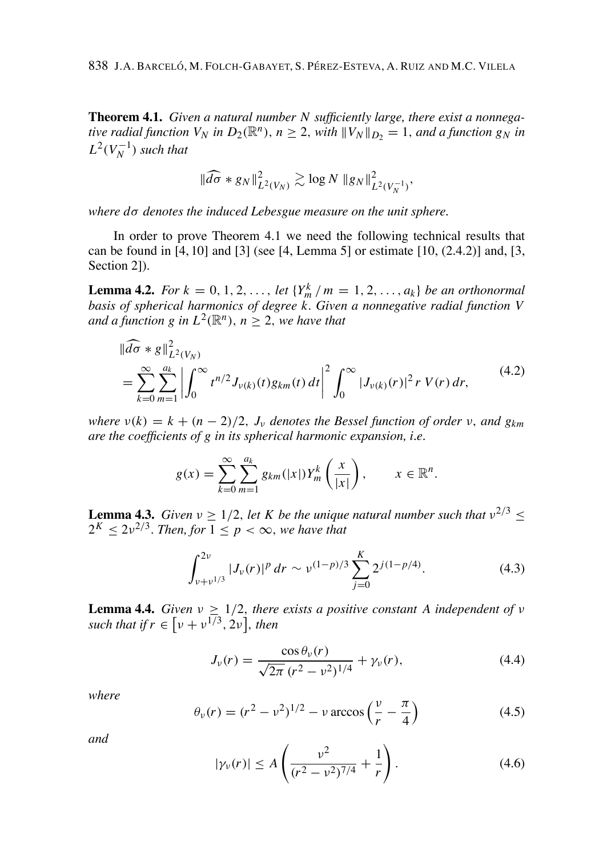**Theorem 4.1.** Given a natural number N sufficiently large, there exist a nonnegative radial function  $V_N$  in  $D_2(\mathbb{R}^n)$ ,  $n \geq 2$ , with  $||V_N||_{D_2} = 1$ , and a function  $g_N$  in  $L^2(V_N^{-1})$  such that

$$
\|\widehat{d\sigma} * g_N\|_{L^2(V_N)}^2 \gtrsim \log N \left\|g_N\right\|_{L^2(V_N^{-1})}^2
$$

where  $d\sigma$  denotes the induced Lebesgue measure on the unit sphere.

In order to prove Theorem 4.1 we need the following technical results that can be found in [4, 10] and [3] (see [4, Lemma 5] or estimate  $[10, (2.4.2)]$  and, [3, Section 21).

**Lemma 4.2.** For  $k = 0, 1, 2, ..., let \{Y_m^k / m = 1, 2, ..., a_k\}$  be an orthonormal basis of spherical harmonics of degree  $k$ . Given a nonnegative radial function  $V$ and a function g in  $L^2(\mathbb{R}^n)$ ,  $n > 2$ , we have that

$$
\|\widehat{d\sigma} * g\|_{L^2(V_N)}^2
$$
\n
$$
= \sum_{k=0}^{\infty} \sum_{m=1}^{a_k} \left| \int_0^{\infty} t^{n/2} J_{\nu(k)}(t) g_{km}(t) dt \right|^2 \int_0^{\infty} |J_{\nu(k)}(r)|^2 r V(r) dr,
$$
\n(4.2)

where  $v(k) = k + (n-2)/2$ ,  $J_v$  denotes the Bessel function of order v, and  $g_{km}$ are the coefficients of g in its spherical harmonic expansion, i.e.

$$
g(x) = \sum_{k=0}^{\infty} \sum_{m=1}^{a_k} g_{km}(|x|) Y_m^k\left(\frac{x}{|x|}\right), \qquad x \in \mathbb{R}^n.
$$

**Lemma 4.3.** Given  $v \ge 1/2$ , let K be the unique natural number such that  $v^{2/3} \le$  $2^{K} < 2v^{2/3}$ . Then, for  $1 < p < \infty$ , we have that

$$
\int_{\nu+\nu^{1/3}}^{2\nu} |J_{\nu}(r)|^p dr \sim \nu^{(1-p)/3} \sum_{j=0}^{K} 2^{j(1-p/4)}.
$$
 (4.3)

**Lemma 4.4.** Given  $v \geq 1/2$ , there exists a positive constant A independent of v such that if  $r \in \left[\nu + \nu^{1/3}, 2\nu\right]$ , then

$$
J_{\nu}(r) = \frac{\cos \theta_{\nu}(r)}{\sqrt{2\pi} (r^2 - \nu^2)^{1/4}} + \gamma_{\nu}(r),
$$
\n(4.4)

where

$$
\theta_{\nu}(r) = (r^2 - \nu^2)^{1/2} - \nu \arccos\left(\frac{\nu}{r} - \frac{\pi}{4}\right)
$$
 (4.5)

and

$$
|\gamma_{\nu}(r)| \le A\left(\frac{\nu^2}{(r^2 - \nu^2)^{7/4}} + \frac{1}{r}\right). \tag{4.6}
$$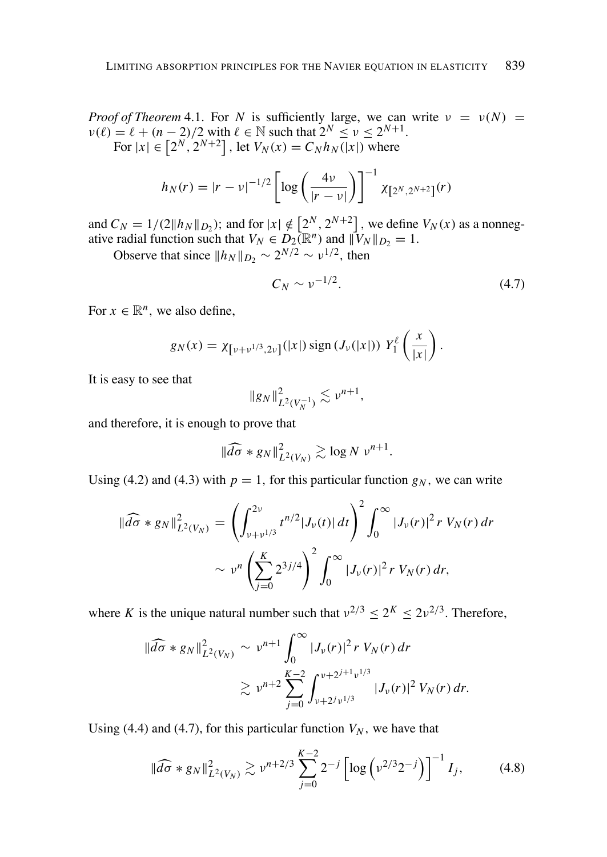*Proof of Theorem* 4.1. For N is sufficiently large, we can write  $v = v(N)$  =  $v(\ell) = \ell + (n-2)/2$  with  $\ell \in \mathbb{N}$  such that  $2^N \le v \le 2^{N+1}$ .<br>For  $|x| \in [2^N, 2^{N+2}]$ , let  $V_N(x) = C_N h_N(|x|)$  where

$$
h_N(r) = |r - v|^{-1/2} \left[ \log \left( \frac{4v}{|r - v|} \right) \right]^{-1} \chi_{\left[2^N, 2^{N+2}\right]}(r)
$$

and  $C_N = 1/(2||h_N||_{D_2})$ ; and for  $|x| \notin [2^N, 2^{N+2}]$ , we define  $V_N(x)$  as a nonnegative radial function such that  $V_N \in D_2(\mathbb{R}^n)$  and  $||V_N||_{D_2} = 1$ .<br>Observe that since  $||h_N||_{D_2} \sim 2^{N/2} \sim \nu^{1/2}$ , then

$$
C_N \sim \nu^{-1/2}.\tag{4.7}
$$

For  $x \in \mathbb{R}^n$ , we also define,

$$
g_N(x) = \chi_{\left[\nu+\nu^{1/3},2\nu\right]}(|x|) \operatorname{sign}\left(J_{\nu}(|x|)\right) Y_1^{\ell} \left(\frac{x}{|x|}\right).
$$

It is easy to see that

$$
\|g_N\|_{L^2(V_N^{-1})}^2 \lesssim \nu^{n+1},
$$

and therefore, it is enough to prove that

$$
\|\widehat{d\sigma} * g_N\|_{L^2(V_N)}^2 \gtrsim \log N \, \nu^{n+1}.
$$

Using (4.2) and (4.3) with  $p = 1$ , for this particular function  $g_N$ , we can write

$$
\|\widehat{d\sigma} * g_N\|_{L^2(V_N)}^2 = \left(\int_{\nu+\nu^{1/3}}^{2\nu} t^{n/2} |J_\nu(t)| dt\right)^2 \int_0^\infty |J_\nu(r)|^2 r V_N(r) dr
$$
  

$$
\sim \nu^n \left(\sum_{j=0}^K 2^{3j/4}\right)^2 \int_0^\infty |J_\nu(r)|^2 r V_N(r) dr,
$$

where K is the unique natural number such that  $v^{2/3} < 2^{K} < 2v^{2/3}$ . Therefore,

$$
\|\widehat{d\sigma} * g_N\|_{L^2(V_N)}^2 \sim \nu^{n+1} \int_0^\infty |J_\nu(r)|^2 r V_N(r) dr
$$
  
\$\gtrsim \nu^{n+2} \sum\_{j=0}^{K-2} \int\_{\nu+2^j \nu^{1/3}}^{\nu+2^{j+1} \nu^{1/3}} |J\_\nu(r)|^2 V\_N(r) dr.\$

Using (4.4) and (4.7), for this particular function  $V_N$ , we have that

$$
\|\widehat{d\sigma} * g_N\|_{L^2(V_N)}^2 \gtrsim \nu^{n+2/3} \sum_{j=0}^{K-2} 2^{-j} \left[ \log \left( \nu^{2/3} 2^{-j} \right) \right]^{-1} I_j,\tag{4.8}
$$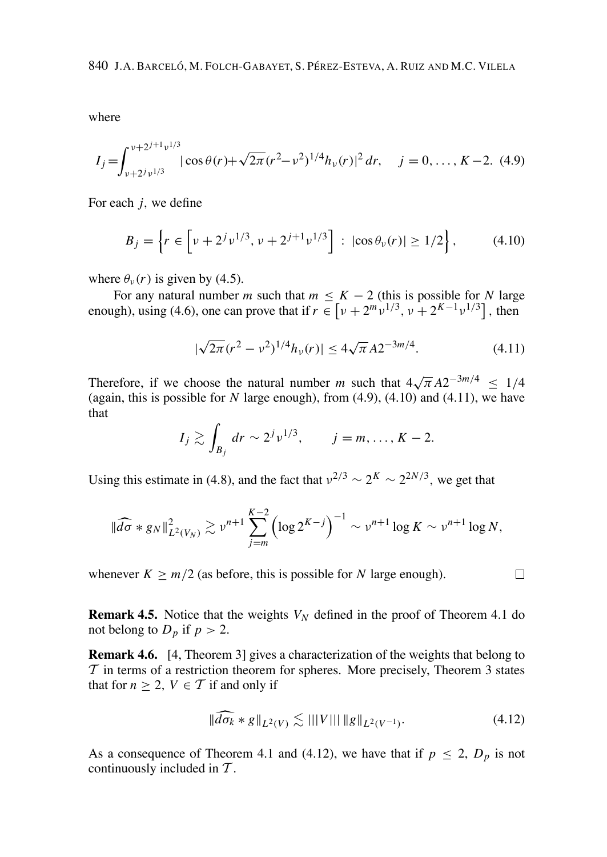where

$$
I_j = \int_{\nu + 2^{j} \nu^{1/3}}^{\nu + 2^{j+1} \nu^{1/3}} |\cos \theta(r) + \sqrt{2\pi (r^2 - \nu^2)^{1/4}} h_{\nu}(r)|^2 dr, \quad j = 0, \dots, K-2.
$$
 (4.9)

For each  $i$ , we define

$$
B_j = \left\{ r \in \left[ \nu + 2^j \nu^{1/3}, \nu + 2^{j+1} \nu^{1/3} \right] : |\cos \theta_\nu(r)| \ge 1/2 \right\},\tag{4.10}
$$

where  $\theta_{v}(r)$  is given by (4.5).

For any natural number m such that  $m \leq K - 2$  (this is possible for N large enough), using (4.6), one can prove that if  $r \in \left[ \nu + 2^m \nu^{1/3}, \nu + 2^{K-1} \nu^{1/3} \right]$ , then

$$
|\sqrt{2\pi}(r^2 - \nu^2)^{1/4}h_\nu(r)| \le 4\sqrt{\pi}A2^{-3m/4}.\tag{4.11}
$$

Therefore, if we choose the natural number m such that  $4\sqrt{\pi} A2^{-3m/4} \le 1/4$ (again, this is possible for  $N$  large enough), from  $(4.9)$ ,  $(4.10)$  and  $(4.11)$ , we have that

$$
I_j \gtrsim \int_{B_j} dr \sim 2^j \nu^{1/3}, \qquad j = m, \dots, K-2.
$$

Using this estimate in (4.8), and the fact that  $v^{2/3} \sim 2^{K} \sim 2^{2N/3}$ , we get that

$$
\|\widehat{d\sigma} * g_N\|_{L^2(V_N)}^2 \gtrsim \nu^{n+1} \sum_{j=m}^{K-2} \left(\log 2^{K-j}\right)^{-1} \sim \nu^{n+1} \log K \sim \nu^{n+1} \log N,
$$

whenever  $K \ge m/2$  (as before, this is possible for N large enough).

**Remark 4.5.** Notice that the weights  $V_N$  defined in the proof of Theorem 4.1 do not belong to  $D_p$  if  $p > 2$ .

**Remark 4.6.** [4, Theorem 3] gives a characterization of the weights that belong to  $\mathcal T$  in terms of a restriction theorem for spheres. More precisely, Theorem 3 states that for  $n \geq 2$ ,  $V \in \mathcal{T}$  if and only if

$$
\|\widehat{d\sigma_k} * g\|_{L^2(V)} \lesssim |||V||| \|g\|_{L^2(V^{-1})}.
$$
\n(4.12)

 $\Box$ 

As a consequence of Theorem 4.1 and (4.12), we have that if  $p \le 2$ ,  $D_p$  is not continuously included in  $T$ .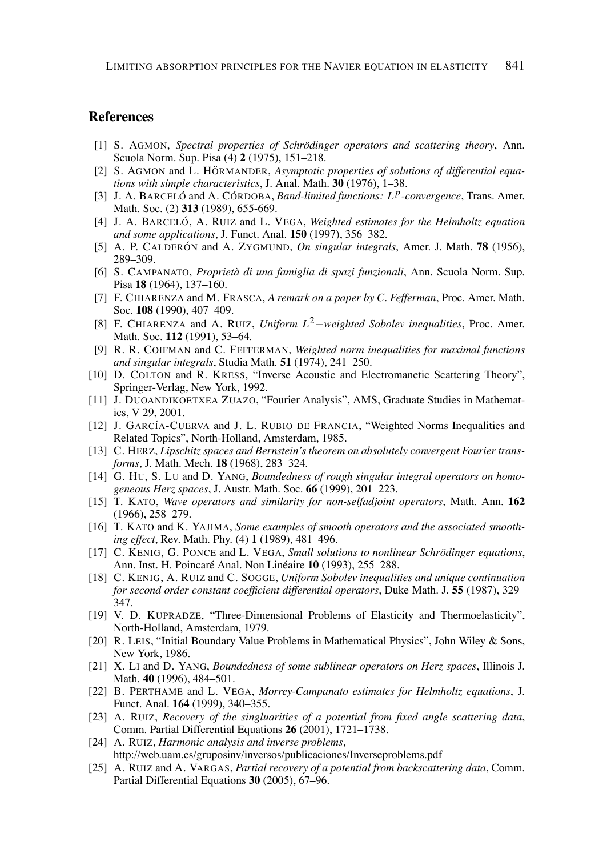#### **References**

- [1] S. AGMON. Spectral properties of Schrödinger operators and scattering theory, Ann. Scuola Norm. Sup. Pisa (4) 2 (1975), 151-218.
- [2] S. AGMON and L. HÖRMANDER, Asymptotic properties of solutions of differential equations with simple characteristics, J. Anal. Math. 30 (1976), 1-38.
- [3] J. A. BARCELÓ and A. CÓRDOBA, *Band-limited functions: L<sup>p</sup>-convergence*, Trans. Amer. Math. Soc. (2) 313 (1989), 655-669.
- [4] J. A. BARCELÓ, A. RUIZ and L. VEGA, Weighted estimates for the Helmholtz equation and some applications, J. Funct. Anal. 150 (1997), 356–382.
- [5] A. P. CALDERÓN and A. ZYGMUND, On singular integrals, Amer. J. Math. 78 (1956), 289-309.
- [6] S. CAMPANATO, Proprietà di una famiglia di spazi funzionali, Ann. Scuola Norm. Sup. Pisa 18 (1964), 137–160.
- [7] F. CHIARENZA and M. FRASCA, A remark on a paper by C. Fefferman, Proc. Amer. Math. Soc. 108 (1990), 407-409.
- [8] F. CHIARENZA and A. RUIZ, Uniform  $L^2$ -weighted Sobolev inequalities, Proc. Amer. Math. Soc. 112 (1991), 53-64.
- [9] R. R. COIFMAN and C. FEFFERMAN, Weighted norm inequalities for maximal functions and singular integrals, Studia Math. 51 (1974), 241–250.
- [10] D. COLTON and R. KRESS, "Inverse Acoustic and Electromanetic Scattering Theory", Springer-Verlag, New York, 1992.
- [11] J. DUOANDIKOETXEA ZUAZO, "Fourier Analysis", AMS, Graduate Studies in Mathematics, V 29, 2001.
- [12] J. GARCÍA-CUERVA and J. L. RUBIO DE FRANCIA, "Weighted Norms Inequalities and Related Topics", North-Holland, Amsterdam, 1985.
- [13] C. HERZ, Lipschitz spaces and Bernstein's theorem on absolutely convergent Fourier transforms, J. Math. Mech. 18 (1968), 283-324.
- [14] G. HU, S. LU and D. YANG, Boundedness of rough singular integral operators on homogeneous Herz spaces, J. Austr. Math. Soc. 66 (1999), 201-223.
- [15] T. KATO, Wave operators and similarity for non-selfadjoint operators, Math. Ann. 162  $(1966), 258 - 279.$
- [16] T. KATO and K. YAJIMA, Some examples of smooth operators and the associated smoothing effect, Rev. Math. Phy. (4) 1 (1989), 481-496.
- [17] C. KENIG, G. PONCE and L. VEGA, Small solutions to nonlinear Schrödinger equations, Ann. Inst. H. Poincaré Anal. Non Linéaire 10 (1993), 255-288.
- [18] C. KENIG, A. RUIZ and C. SOGGE, Uniform Sobolev inequalities and unique continuation for second order constant coefficient differential operators, Duke Math. J. 55 (1987), 329-347.
- [19] V. D. KUPRADZE, "Three-Dimensional Problems of Elasticity and Thermoelasticity", North-Holland, Amsterdam, 1979.
- [20] R. LEIS, "Initial Boundary Value Problems in Mathematical Physics", John Wiley & Sons, New York, 1986.
- [21] X. LI and D. YANG, Boundedness of some sublinear operators on Herz spaces, Illinois J. Math. 40 (1996), 484–501.
- [22] B. PERTHAME and L. VEGA, Morrey-Campanato estimates for Helmholtz equations, J. Funct. Anal. 164 (1999), 340-355.
- [23] A. RUIZ, Recovery of the singluarities of a potential from fixed angle scattering data, Comm. Partial Differential Equations 26 (2001), 1721-1738.
- [24] A. RUIZ, Harmonic analysis and inverse problems, http://web.uam.es/gruposinv/inversos/publicaciones/Inverseproblems.pdf
- [25] A. RUIZ and A. VARGAS, Partial recovery of a potential from backscattering data, Comm. Partial Differential Equations 30 (2005), 67-96.